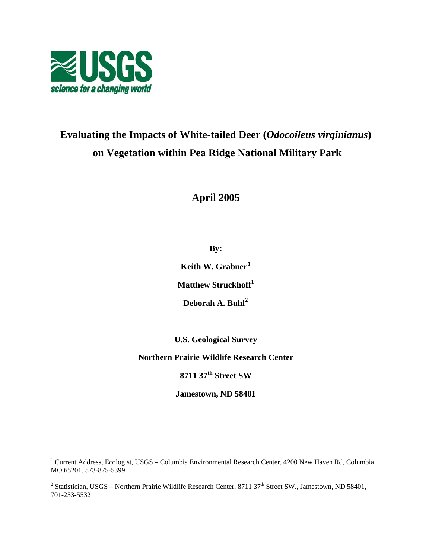

 $\overline{a}$ 

# **Evaluating the Impacts of White-tailed Deer (***Odocoileus virginianus***) on Vegetation within Pea Ridge National Military Park**

**April 2005** 

**By:** 

**Keith W. Grabner<sup>1</sup>**

**Matthew Struckhoff<sup>1</sup>**

**Deborah A. Buhl<sup>2</sup>**

**U.S. Geological Survey** 

**Northern Prairie Wildlife Research Center** 

**8711 37th Street SW** 

**Jamestown, ND 58401** 

<sup>&</sup>lt;sup>1</sup> Current Address, Ecologist, USGS – Columbia Environmental Research Center, 4200 New Haven Rd, Columbia, MO 65201. 573-875-5399

<sup>&</sup>lt;sup>2</sup> Statistician, USGS – Northern Prairie Wildlife Research Center, 8711 37<sup>th</sup> Street SW., Jamestown, ND 58401, 701-253-5532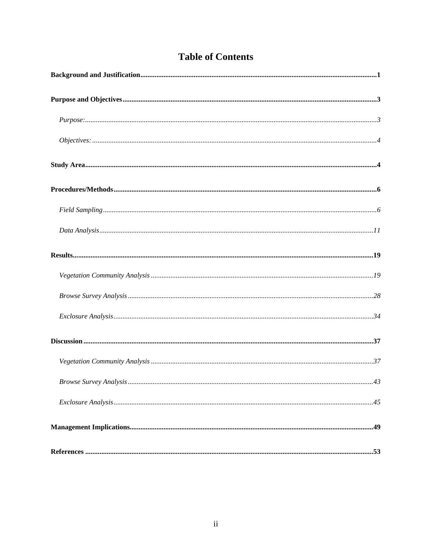|  | <b>Table of Contents</b> |
|--|--------------------------|
|  |                          |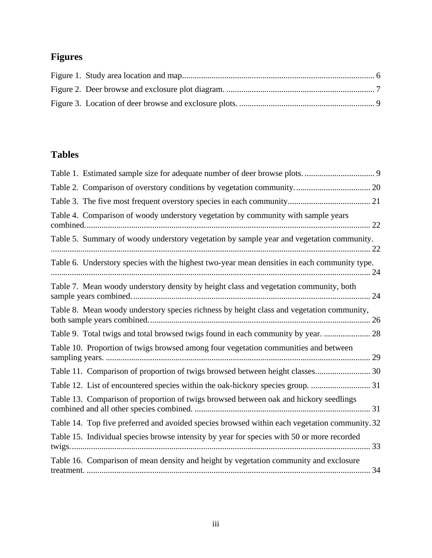# **Figures**

# **Tables**

| Table 4. Comparison of woody understory vegetation by community with sample years             |
|-----------------------------------------------------------------------------------------------|
| Table 5. Summary of woody understory vegetation by sample year and vegetation community.      |
| Table 6. Understory species with the highest two-year mean densities in each community type.  |
| Table 7. Mean woody understory density by height class and vegetation community, both         |
| Table 8. Mean woody understory species richness by height class and vegetation community,     |
| Table 9. Total twigs and total browsed twigs found in each community by year.  28             |
| Table 10. Proportion of twigs browsed among four vegetation communities and between           |
| Table 11. Comparison of proportion of twigs browsed between height classes 30                 |
| Table 12. List of encountered species within the oak-hickory species group.  31               |
| Table 13. Comparison of proportion of twigs browsed between oak and hickory seedlings         |
| Table 14. Top five preferred and avoided species browsed within each vegetation community. 32 |
| Table 15. Individual species browse intensity by year for species with 50 or more recorded    |
| Table 16. Comparison of mean density and height by vegetation community and exclosure         |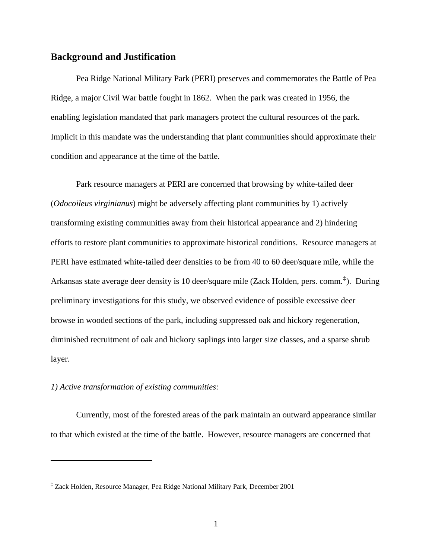## **Background and Justification**

 Pea Ridge National Military Park (PERI) preserves and commemorates the Battle of Pea Ridge, a major Civil War battle fought in 1862. When the park was created in 1956, the enabling legislation mandated that park managers protect the cultural resources of the park. Implicit in this mandate was the understanding that plant communities should approximate their condition and appearance at the time of the battle.

 Park resource managers at PERI are concerned that browsing by white-tailed deer (*Odocoileus virginianus*) might be adversely affecting plant communities by 1) actively transforming existing communities away from their historical appearance and 2) hindering efforts to restore plant communities to approximate historical conditions. Resource managers at PERI have estimated white-tailed deer densities to be from 40 to 60 deer/square mile, while the Arkansas state average deer density is 10 deer/square mile (Zack Holden, pers. comm.<sup>‡</sup>). During preliminary investigations for this study, we observed evidence of possible excessive deer browse in wooded sections of the park, including suppressed oak and hickory regeneration, diminished recruitment of oak and hickory saplings into larger size classes, and a sparse shrub layer.

## *1) Active transformation of existing communities:*

 $\overline{a}$ 

 Currently, most of the forested areas of the park maintain an outward appearance similar to that which existed at the time of the battle. However, resource managers are concerned that

<sup>‡</sup> Zack Holden, Resource Manager, Pea Ridge National Military Park, December 2001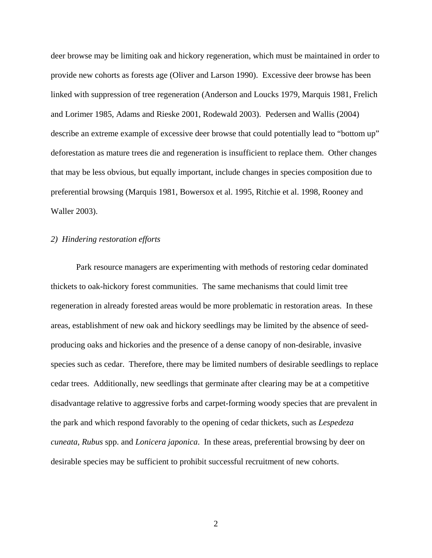deer browse may be limiting oak and hickory regeneration, which must be maintained in order to provide new cohorts as forests age (Oliver and Larson 1990). Excessive deer browse has been linked with suppression of tree regeneration (Anderson and Loucks 1979, Marquis 1981, Frelich and Lorimer 1985, Adams and Rieske 2001, Rodewald 2003). Pedersen and Wallis (2004) describe an extreme example of excessive deer browse that could potentially lead to "bottom up" deforestation as mature trees die and regeneration is insufficient to replace them. Other changes that may be less obvious, but equally important, include changes in species composition due to preferential browsing (Marquis 1981, Bowersox et al. 1995, Ritchie et al. 1998, Rooney and Waller 2003).

#### *2) Hindering restoration efforts*

 Park resource managers are experimenting with methods of restoring cedar dominated thickets to oak-hickory forest communities. The same mechanisms that could limit tree regeneration in already forested areas would be more problematic in restoration areas. In these areas, establishment of new oak and hickory seedlings may be limited by the absence of seedproducing oaks and hickories and the presence of a dense canopy of non-desirable, invasive species such as cedar. Therefore, there may be limited numbers of desirable seedlings to replace cedar trees. Additionally, new seedlings that germinate after clearing may be at a competitive disadvantage relative to aggressive forbs and carpet-forming woody species that are prevalent in the park and which respond favorably to the opening of cedar thickets, such as *Lespedeza cuneata*, *Rubus* spp. and *Lonicera japonica*. In these areas, preferential browsing by deer on desirable species may be sufficient to prohibit successful recruitment of new cohorts.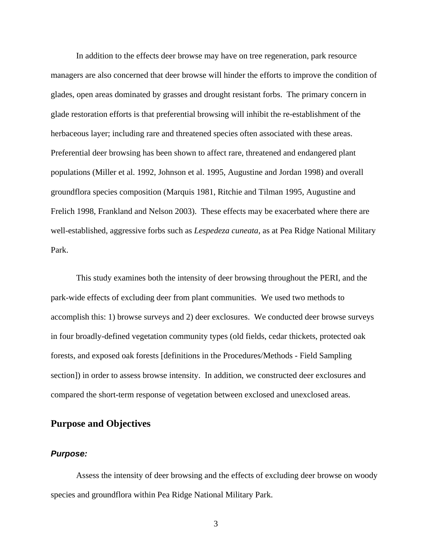In addition to the effects deer browse may have on tree regeneration, park resource managers are also concerned that deer browse will hinder the efforts to improve the condition of glades, open areas dominated by grasses and drought resistant forbs. The primary concern in glade restoration efforts is that preferential browsing will inhibit the re-establishment of the herbaceous layer; including rare and threatened species often associated with these areas. Preferential deer browsing has been shown to affect rare, threatened and endangered plant populations (Miller et al. 1992, Johnson et al. 1995, Augustine and Jordan 1998) and overall groundflora species composition (Marquis 1981, Ritchie and Tilman 1995, Augustine and Frelich 1998, Frankland and Nelson 2003). These effects may be exacerbated where there are well-established, aggressive forbs such as *Lespedeza cuneata*, as at Pea Ridge National Military Park.

 This study examines both the intensity of deer browsing throughout the PERI, and the park-wide effects of excluding deer from plant communities. We used two methods to accomplish this: 1) browse surveys and 2) deer exclosures. We conducted deer browse surveys in four broadly-defined vegetation community types (old fields, cedar thickets, protected oak forests, and exposed oak forests [definitions in the Procedures/Methods - Field Sampling section]) in order to assess browse intensity. In addition, we constructed deer exclosures and compared the short-term response of vegetation between exclosed and unexclosed areas.

# **Purpose and Objectives**

#### *Purpose:*

 Assess the intensity of deer browsing and the effects of excluding deer browse on woody species and groundflora within Pea Ridge National Military Park.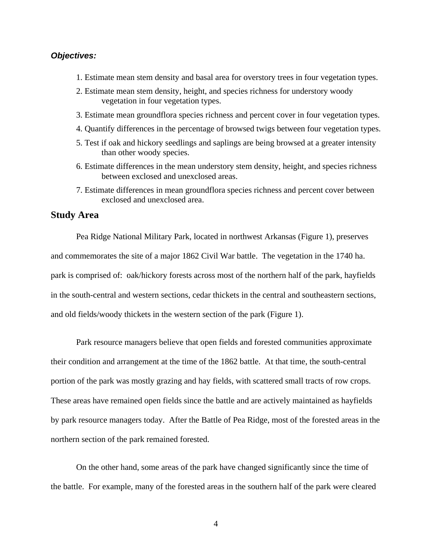## *Objectives:*

- 1. Estimate mean stem density and basal area for overstory trees in four vegetation types.
- 2. Estimate mean stem density, height, and species richness for understory woody vegetation in four vegetation types.
- 3. Estimate mean groundflora species richness and percent cover in four vegetation types.
- 4. Quantify differences in the percentage of browsed twigs between four vegetation types.
- 5. Test if oak and hickory seedlings and saplings are being browsed at a greater intensity than other woody species.
- 6. Estimate differences in the mean understory stem density, height, and species richness between exclosed and unexclosed areas.
- 7. Estimate differences in mean groundflora species richness and percent cover between exclosed and unexclosed area.

## **Study Area**

 Pea Ridge National Military Park, located in northwest Arkansas (Figure 1), preserves and commemorates the site of a major 1862 Civil War battle. The vegetation in the 1740 ha. park is comprised of: oak/hickory forests across most of the northern half of the park, hayfields in the south-central and western sections, cedar thickets in the central and southeastern sections, and old fields/woody thickets in the western section of the park (Figure 1).

 Park resource managers believe that open fields and forested communities approximate their condition and arrangement at the time of the 1862 battle. At that time, the south-central portion of the park was mostly grazing and hay fields, with scattered small tracts of row crops. These areas have remained open fields since the battle and are actively maintained as hayfields by park resource managers today. After the Battle of Pea Ridge, most of the forested areas in the northern section of the park remained forested.

 On the other hand, some areas of the park have changed significantly since the time of the battle. For example, many of the forested areas in the southern half of the park were cleared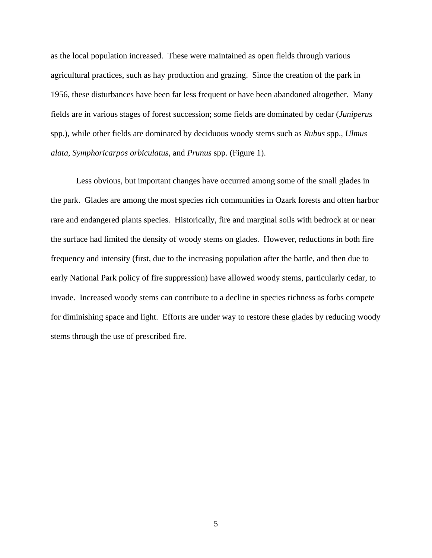as the local population increased. These were maintained as open fields through various agricultural practices, such as hay production and grazing. Since the creation of the park in 1956, these disturbances have been far less frequent or have been abandoned altogether. Many fields are in various stages of forest succession; some fields are dominated by cedar (*Juniperus* spp.), while other fields are dominated by deciduous woody stems such as *Rubus* spp., *Ulmus alata*, *Symphoricarpos orbiculatus*, and *Prunus* spp. (Figure 1).

 Less obvious, but important changes have occurred among some of the small glades in the park. Glades are among the most species rich communities in Ozark forests and often harbor rare and endangered plants species. Historically, fire and marginal soils with bedrock at or near the surface had limited the density of woody stems on glades. However, reductions in both fire frequency and intensity (first, due to the increasing population after the battle, and then due to early National Park policy of fire suppression) have allowed woody stems, particularly cedar, to invade. Increased woody stems can contribute to a decline in species richness as forbs compete for diminishing space and light. Efforts are under way to restore these glades by reducing woody stems through the use of prescribed fire.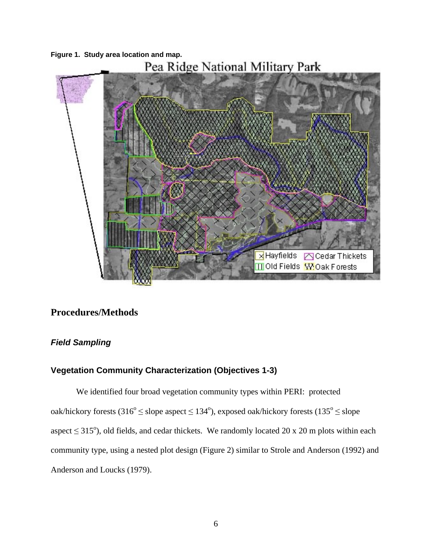

# **Procedures/Methods**

# *Field Sampling*

# **Vegetation Community Characterization (Objectives 1-3)**

 We identified four broad vegetation community types within PERI: protected oak/hickory forests  $(316^{\circ} \leq$  slope aspect  $\leq 134^{\circ}$ ), exposed oak/hickory forests  $(135^{\circ} \leq$  slope aspect  $\leq$  315°), old fields, and cedar thickets. We randomly located 20 x 20 m plots within each community type, using a nested plot design (Figure 2) similar to Strole and Anderson (1992) and Anderson and Loucks (1979).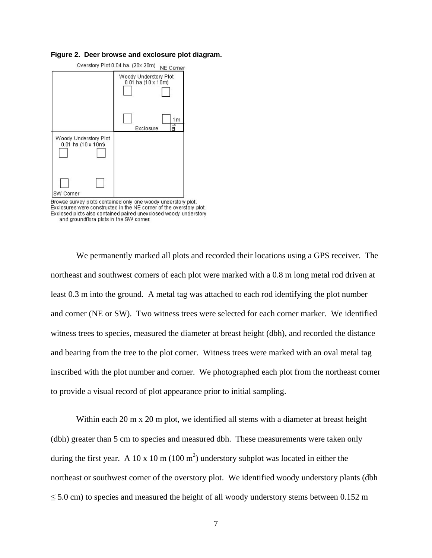#### **Figure 2. Deer browse and exclosure plot diagram.**



Browse survey plots contained only one woody understory plot.<br>Exclosures were constructed in the NE corner of the overstory plot. Exclosed plots also contained paired unexclosed woody understory and groundflora plots in the SW corner.

We permanently marked all plots and recorded their locations using a GPS receiver. The northeast and southwest corners of each plot were marked with a 0.8 m long metal rod driven at least 0.3 m into the ground. A metal tag was attached to each rod identifying the plot number and corner (NE or SW). Two witness trees were selected for each corner marker. We identified witness trees to species, measured the diameter at breast height (dbh), and recorded the distance and bearing from the tree to the plot corner. Witness trees were marked with an oval metal tag inscribed with the plot number and corner. We photographed each plot from the northeast corner to provide a visual record of plot appearance prior to initial sampling.

Within each 20 m x 20 m plot, we identified all stems with a diameter at breast height (dbh) greater than 5 cm to species and measured dbh. These measurements were taken only during the first year. A 10 x 10 m (100 m<sup>2</sup>) understory subplot was located in either the northeast or southwest corner of the overstory plot. We identified woody understory plants (dbh  $\leq$  5.0 cm) to species and measured the height of all woody understory stems between 0.152 m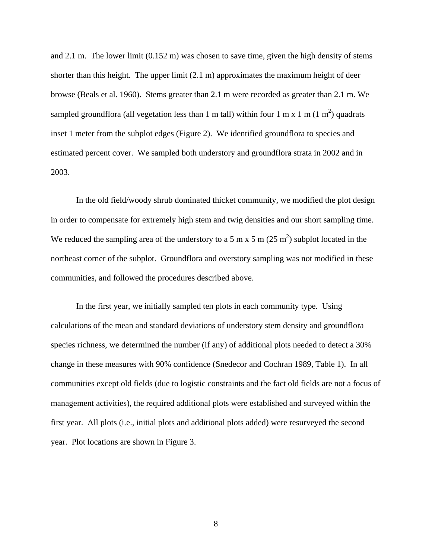and 2.1 m. The lower limit (0.152 m) was chosen to save time, given the high density of stems shorter than this height. The upper limit (2.1 m) approximates the maximum height of deer browse (Beals et al. 1960). Stems greater than 2.1 m were recorded as greater than 2.1 m. We sampled groundflora (all vegetation less than 1 m tall) within four 1 m x 1 m (1 m<sup>2</sup>) quadrats inset 1 meter from the subplot edges (Figure 2). We identified groundflora to species and estimated percent cover. We sampled both understory and groundflora strata in 2002 and in 2003.

 In the old field/woody shrub dominated thicket community, we modified the plot design in order to compensate for extremely high stem and twig densities and our short sampling time. We reduced the sampling area of the understory to a 5 m x 5 m (25 m<sup>2</sup>) subplot located in the northeast corner of the subplot. Groundflora and overstory sampling was not modified in these communities, and followed the procedures described above.

In the first year, we initially sampled ten plots in each community type. Using calculations of the mean and standard deviations of understory stem density and groundflora species richness, we determined the number (if any) of additional plots needed to detect a 30% change in these measures with 90% confidence (Snedecor and Cochran 1989, Table 1). In all communities except old fields (due to logistic constraints and the fact old fields are not a focus of management activities), the required additional plots were established and surveyed within the first year. All plots (i.e., initial plots and additional plots added) were resurveyed the second year. Plot locations are shown in Figure 3.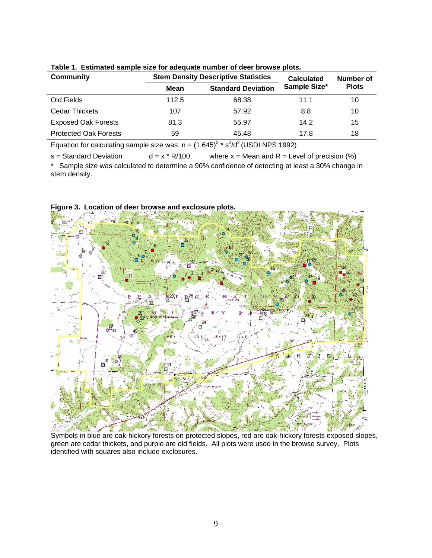| <b>Community</b>             | <b>Stem Density Descriptive Statistics</b> |                           |              | Number of    |  |
|------------------------------|--------------------------------------------|---------------------------|--------------|--------------|--|
|                              | Mean                                       | <b>Standard Deviation</b> | Sample Size* | <b>Plots</b> |  |
| Old Fields                   | 112.5                                      | 68.38                     | 11.1         | 10           |  |
| Cedar Thickets               | 107                                        | 57.92                     | 8.8          | 10           |  |
| <b>Exposed Oak Forests</b>   | 81.3                                       | 55.97                     | 14.2         | 15           |  |
| <b>Protected Oak Forests</b> | 59                                         | 45.48                     | 17.8         | 18           |  |

**Table 1. Estimated sample size for adequate number of deer browse plots.** 

Equation for calculating sample size was:  $n = (1.645)^2 * s^2/d^2$  (USDI NPS 1992)

s = Standard Deviation  $d = x * R/100$ , where  $x = M$ ean and R = Level of precision (%) \* Sample size was calculated to determine a 90% confidence of detecting at least a 30% change in stem density.



**Figure 3. Location of deer browse and exclosure plots.** 

Symbols in blue are oak-hickory forests on protected slopes, red are oak-hickory forests exposed slopes, green are cedar thickets, and purple are old fields. All plots were used in the browse survey. Plots identified with squares also include exclosures.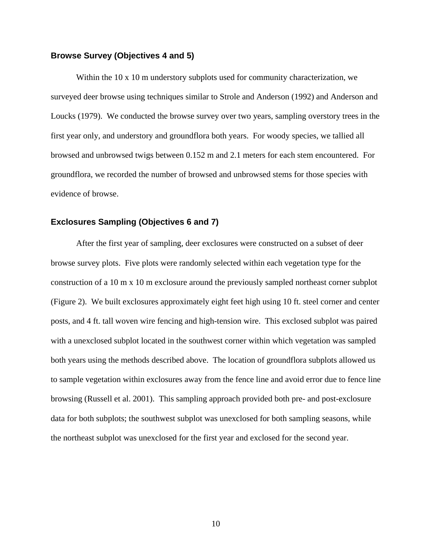#### **Browse Survey (Objectives 4 and 5)**

Within the 10 x 10 m understory subplots used for community characterization, we surveyed deer browse using techniques similar to Strole and Anderson (1992) and Anderson and Loucks (1979). We conducted the browse survey over two years, sampling overstory trees in the first year only, and understory and groundflora both years. For woody species, we tallied all browsed and unbrowsed twigs between 0.152 m and 2.1 meters for each stem encountered. For groundflora, we recorded the number of browsed and unbrowsed stems for those species with evidence of browse.

#### **Exclosures Sampling (Objectives 6 and 7)**

 After the first year of sampling, deer exclosures were constructed on a subset of deer browse survey plots. Five plots were randomly selected within each vegetation type for the construction of a 10 m x 10 m exclosure around the previously sampled northeast corner subplot (Figure 2). We built exclosures approximately eight feet high using 10 ft. steel corner and center posts, and 4 ft. tall woven wire fencing and high-tension wire. This exclosed subplot was paired with a unexclosed subplot located in the southwest corner within which vegetation was sampled both years using the methods described above. The location of groundflora subplots allowed us to sample vegetation within exclosures away from the fence line and avoid error due to fence line browsing (Russell et al. 2001). This sampling approach provided both pre- and post-exclosure data for both subplots; the southwest subplot was unexclosed for both sampling seasons, while the northeast subplot was unexclosed for the first year and exclosed for the second year.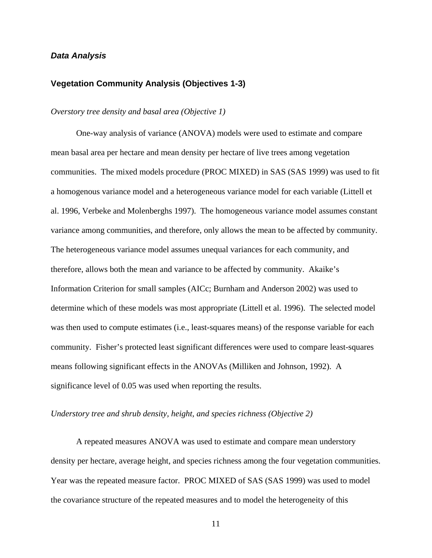### *Data Analysis*

#### **Vegetation Community Analysis (Objectives 1-3)**

#### *Overstory tree density and basal area (Objective 1)*

 One-way analysis of variance (ANOVA) models were used to estimate and compare mean basal area per hectare and mean density per hectare of live trees among vegetation communities. The mixed models procedure (PROC MIXED) in SAS (SAS 1999) was used to fit a homogenous variance model and a heterogeneous variance model for each variable (Littell et al. 1996, Verbeke and Molenberghs 1997). The homogeneous variance model assumes constant variance among communities, and therefore, only allows the mean to be affected by community. The heterogeneous variance model assumes unequal variances for each community, and therefore, allows both the mean and variance to be affected by community. Akaike's Information Criterion for small samples (AICc; Burnham and Anderson 2002) was used to determine which of these models was most appropriate (Littell et al. 1996). The selected model was then used to compute estimates (i.e., least-squares means) of the response variable for each community. Fisher's protected least significant differences were used to compare least-squares means following significant effects in the ANOVAs (Milliken and Johnson, 1992). A significance level of 0.05 was used when reporting the results.

#### *Understory tree and shrub density, height, and species richness (Objective 2)*

 A repeated measures ANOVA was used to estimate and compare mean understory density per hectare, average height, and species richness among the four vegetation communities. Year was the repeated measure factor. PROC MIXED of SAS (SAS 1999) was used to model the covariance structure of the repeated measures and to model the heterogeneity of this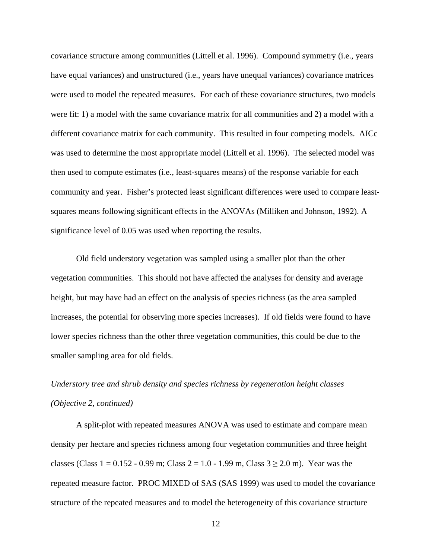covariance structure among communities (Littell et al. 1996). Compound symmetry (i.e., years have equal variances) and unstructured (i.e., years have unequal variances) covariance matrices were used to model the repeated measures. For each of these covariance structures, two models were fit: 1) a model with the same covariance matrix for all communities and 2) a model with a different covariance matrix for each community. This resulted in four competing models. AICc was used to determine the most appropriate model (Littell et al. 1996). The selected model was then used to compute estimates (i.e., least-squares means) of the response variable for each community and year. Fisher's protected least significant differences were used to compare leastsquares means following significant effects in the ANOVAs (Milliken and Johnson, 1992). A significance level of 0.05 was used when reporting the results.

 Old field understory vegetation was sampled using a smaller plot than the other vegetation communities. This should not have affected the analyses for density and average height, but may have had an effect on the analysis of species richness (as the area sampled increases, the potential for observing more species increases). If old fields were found to have lower species richness than the other three vegetation communities, this could be due to the smaller sampling area for old fields.

# *Understory tree and shrub density and species richness by regeneration height classes (Objective 2, continued)*

 A split-plot with repeated measures ANOVA was used to estimate and compare mean density per hectare and species richness among four vegetation communities and three height classes (Class  $1 = 0.152 - 0.99$  m; Class  $2 = 1.0 - 1.99$  m, Class  $3 \ge 2.0$  m). Year was the repeated measure factor. PROC MIXED of SAS (SAS 1999) was used to model the covariance structure of the repeated measures and to model the heterogeneity of this covariance structure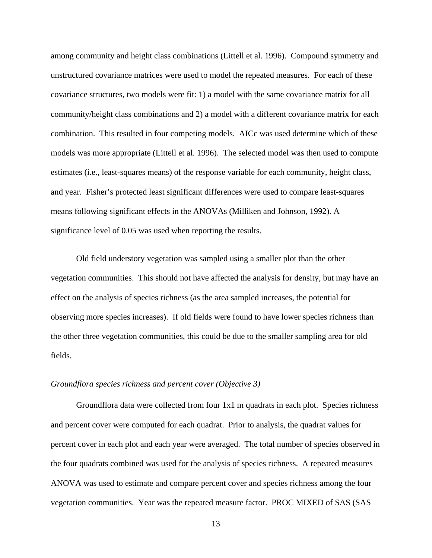among community and height class combinations (Littell et al. 1996). Compound symmetry and unstructured covariance matrices were used to model the repeated measures. For each of these covariance structures, two models were fit: 1) a model with the same covariance matrix for all community/height class combinations and 2) a model with a different covariance matrix for each combination. This resulted in four competing models. AICc was used determine which of these models was more appropriate (Littell et al. 1996). The selected model was then used to compute estimates (i.e., least-squares means) of the response variable for each community, height class, and year. Fisher's protected least significant differences were used to compare least-squares means following significant effects in the ANOVAs (Milliken and Johnson, 1992). A significance level of 0.05 was used when reporting the results.

 Old field understory vegetation was sampled using a smaller plot than the other vegetation communities. This should not have affected the analysis for density, but may have an effect on the analysis of species richness (as the area sampled increases, the potential for observing more species increases). If old fields were found to have lower species richness than the other three vegetation communities, this could be due to the smaller sampling area for old fields.

#### *Groundflora species richness and percent cover (Objective 3)*

 Groundflora data were collected from four 1x1 m quadrats in each plot. Species richness and percent cover were computed for each quadrat. Prior to analysis, the quadrat values for percent cover in each plot and each year were averaged. The total number of species observed in the four quadrats combined was used for the analysis of species richness. A repeated measures ANOVA was used to estimate and compare percent cover and species richness among the four vegetation communities. Year was the repeated measure factor. PROC MIXED of SAS (SAS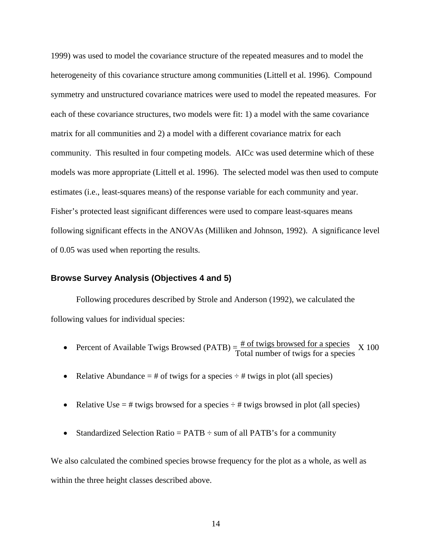1999) was used to model the covariance structure of the repeated measures and to model the heterogeneity of this covariance structure among communities (Littell et al. 1996). Compound symmetry and unstructured covariance matrices were used to model the repeated measures. For each of these covariance structures, two models were fit: 1) a model with the same covariance matrix for all communities and 2) a model with a different covariance matrix for each community. This resulted in four competing models. AICc was used determine which of these models was more appropriate (Littell et al. 1996). The selected model was then used to compute estimates (i.e., least-squares means) of the response variable for each community and year. Fisher's protected least significant differences were used to compare least-squares means following significant effects in the ANOVAs (Milliken and Johnson, 1992). A significance level of 0.05 was used when reporting the results.

#### **Browse Survey Analysis (Objectives 4 and 5)**

 Following procedures described by Strole and Anderson (1992), we calculated the following values for individual species:

- Percent of Available Twigs Browsed (PATB)  $=$   $\frac{\text{\# of twigs browsed for a species}}{\text{\# of twigs browsed}}$  X 100 Total number of twigs for a species
- Relative Abundance  $=$  # of twigs for a species  $\div$  # twigs in plot (all species)
- Relative Use  $=$  # twigs browsed for a species  $\div$  # twigs browsed in plot (all species)
- Standardized Selection Ratio =  $PATB \div \text{sum of all } PATB$ 's for a community

We also calculated the combined species browse frequency for the plot as a whole, as well as within the three height classes described above.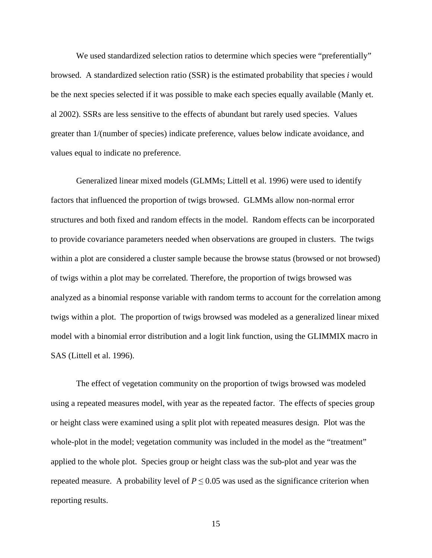We used standardized selection ratios to determine which species were "preferentially" browsed. A standardized selection ratio (SSR) is the estimated probability that species *i* would be the next species selected if it was possible to make each species equally available (Manly et. al 2002). SSRs are less sensitive to the effects of abundant but rarely used species. Values greater than 1/(number of species) indicate preference, values below indicate avoidance, and values equal to indicate no preference.

 Generalized linear mixed models (GLMMs; Littell et al. 1996) were used to identify factors that influenced the proportion of twigs browsed. GLMMs allow non-normal error structures and both fixed and random effects in the model. Random effects can be incorporated to provide covariance parameters needed when observations are grouped in clusters. The twigs within a plot are considered a cluster sample because the browse status (browsed or not browsed) of twigs within a plot may be correlated. Therefore, the proportion of twigs browsed was analyzed as a binomial response variable with random terms to account for the correlation among twigs within a plot. The proportion of twigs browsed was modeled as a generalized linear mixed model with a binomial error distribution and a logit link function, using the GLIMMIX macro in SAS (Littell et al. 1996).

 The effect of vegetation community on the proportion of twigs browsed was modeled using a repeated measures model, with year as the repeated factor. The effects of species group or height class were examined using a split plot with repeated measures design. Plot was the whole-plot in the model; vegetation community was included in the model as the "treatment" applied to the whole plot. Species group or height class was the sub-plot and year was the repeated measure. A probability level of  $P \leq 0.05$  was used as the significance criterion when reporting results.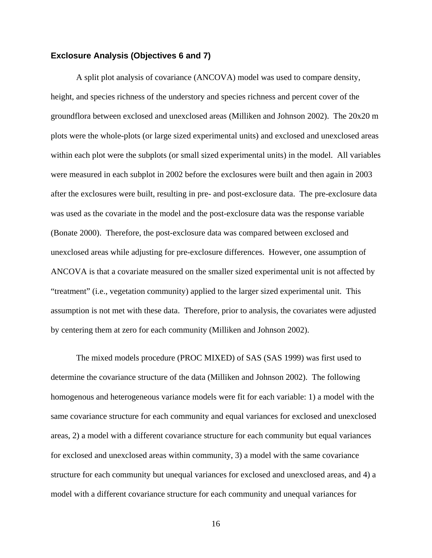#### **Exclosure Analysis (Objectives 6 and 7)**

 A split plot analysis of covariance (ANCOVA) model was used to compare density, height, and species richness of the understory and species richness and percent cover of the groundflora between exclosed and unexclosed areas (Milliken and Johnson 2002). The 20x20 m plots were the whole-plots (or large sized experimental units) and exclosed and unexclosed areas within each plot were the subplots (or small sized experimental units) in the model. All variables were measured in each subplot in 2002 before the exclosures were built and then again in 2003 after the exclosures were built, resulting in pre- and post-exclosure data. The pre-exclosure data was used as the covariate in the model and the post-exclosure data was the response variable (Bonate 2000). Therefore, the post-exclosure data was compared between exclosed and unexclosed areas while adjusting for pre-exclosure differences. However, one assumption of ANCOVA is that a covariate measured on the smaller sized experimental unit is not affected by "treatment" (i.e., vegetation community) applied to the larger sized experimental unit. This assumption is not met with these data. Therefore, prior to analysis, the covariates were adjusted by centering them at zero for each community (Milliken and Johnson 2002).

 The mixed models procedure (PROC MIXED) of SAS (SAS 1999) was first used to determine the covariance structure of the data (Milliken and Johnson 2002). The following homogenous and heterogeneous variance models were fit for each variable: 1) a model with the same covariance structure for each community and equal variances for exclosed and unexclosed areas, 2) a model with a different covariance structure for each community but equal variances for exclosed and unexclosed areas within community, 3) a model with the same covariance structure for each community but unequal variances for exclosed and unexclosed areas, and 4) a model with a different covariance structure for each community and unequal variances for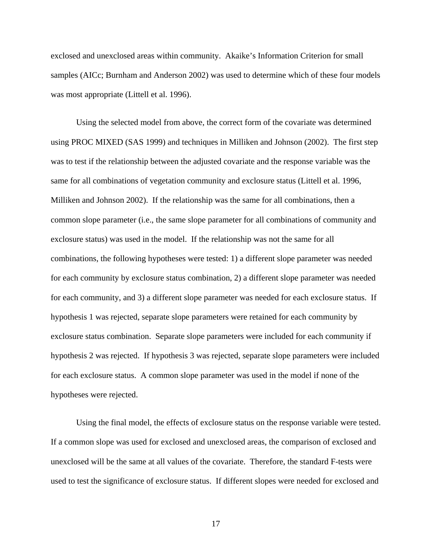exclosed and unexclosed areas within community. Akaike's Information Criterion for small samples (AICc; Burnham and Anderson 2002) was used to determine which of these four models was most appropriate (Littell et al. 1996).

 Using the selected model from above, the correct form of the covariate was determined using PROC MIXED (SAS 1999) and techniques in Milliken and Johnson (2002). The first step was to test if the relationship between the adjusted covariate and the response variable was the same for all combinations of vegetation community and exclosure status (Littell et al. 1996, Milliken and Johnson 2002). If the relationship was the same for all combinations, then a common slope parameter (i.e., the same slope parameter for all combinations of community and exclosure status) was used in the model. If the relationship was not the same for all combinations, the following hypotheses were tested: 1) a different slope parameter was needed for each community by exclosure status combination, 2) a different slope parameter was needed for each community, and 3) a different slope parameter was needed for each exclosure status. If hypothesis 1 was rejected, separate slope parameters were retained for each community by exclosure status combination. Separate slope parameters were included for each community if hypothesis 2 was rejected. If hypothesis 3 was rejected, separate slope parameters were included for each exclosure status. A common slope parameter was used in the model if none of the hypotheses were rejected.

 Using the final model, the effects of exclosure status on the response variable were tested. If a common slope was used for exclosed and unexclosed areas, the comparison of exclosed and unexclosed will be the same at all values of the covariate. Therefore, the standard F-tests were used to test the significance of exclosure status. If different slopes were needed for exclosed and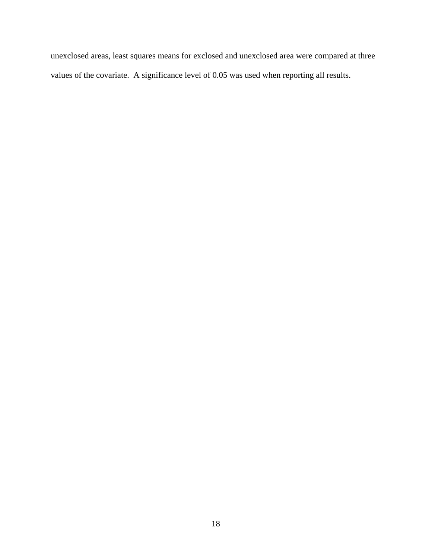unexclosed areas, least squares means for exclosed and unexclosed area were compared at three values of the covariate. A significance level of 0.05 was used when reporting all results.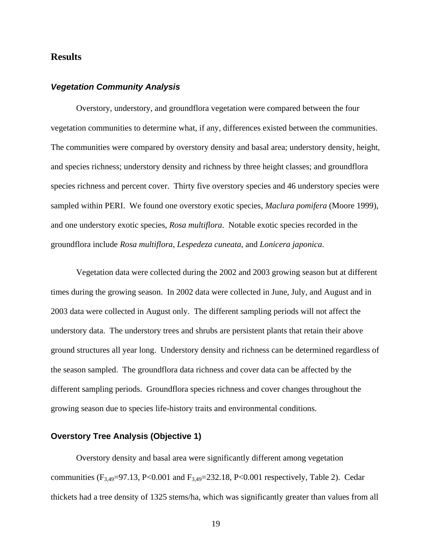# **Results**

## *Vegetation Community Analysis*

 Overstory, understory, and groundflora vegetation were compared between the four vegetation communities to determine what, if any, differences existed between the communities. The communities were compared by overstory density and basal area; understory density, height, and species richness; understory density and richness by three height classes; and groundflora species richness and percent cover. Thirty five overstory species and 46 understory species were sampled within PERI. We found one overstory exotic species, *Maclura pomifera* (Moore 1999), and one understory exotic species, *Rosa multiflora*. Notable exotic species recorded in the groundflora include *Rosa multiflora*, *Lespedeza cuneata*, and *Lonicera japonica*.

 Vegetation data were collected during the 2002 and 2003 growing season but at different times during the growing season. In 2002 data were collected in June, July, and August and in 2003 data were collected in August only. The different sampling periods will not affect the understory data. The understory trees and shrubs are persistent plants that retain their above ground structures all year long. Understory density and richness can be determined regardless of the season sampled. The groundflora data richness and cover data can be affected by the different sampling periods. Groundflora species richness and cover changes throughout the growing season due to species life-history traits and environmental conditions.

## **Overstory Tree Analysis (Objective 1)**

 Overstory density and basal area were significantly different among vegetation communities  $(F_{3,49}=97.13, P<0.001$  and  $F_{3,49}=232.18, P<0.001$  respectively, Table 2). Cedar thickets had a tree density of 1325 stems/ha, which was significantly greater than values from all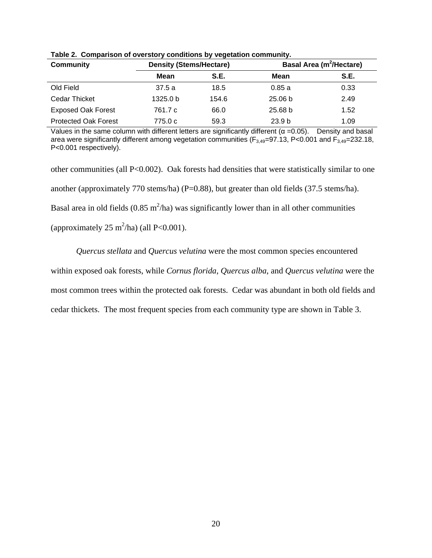| <b>Community</b>            |          | <b>Density (Stems/Hectare)</b> |                    | <b>Basal Area (m<sup>2</sup>/Hectare)</b> |
|-----------------------------|----------|--------------------------------|--------------------|-------------------------------------------|
|                             | Mean     | S.E.                           | Mean               | S.E.                                      |
| Old Field                   | 37.5 a   | 18.5                           | 0.85a              | 0.33                                      |
| <b>Cedar Thicket</b>        | 1325.0 b | 154.6                          | 25.06 <sub>b</sub> | 2.49                                      |
| <b>Exposed Oak Forest</b>   | 761.7 c  | 66.0                           | 25.68 <sub>b</sub> | 1.52                                      |
| <b>Protected Oak Forest</b> | 775.0 c  | 59.3                           | 23.9 <sub>b</sub>  | 1.09                                      |

**Table 2. Comparison of overstory conditions by vegetation community.** 

Values in the same column with different letters are significantly different ( $\alpha$  =0.05). Density and basal area were significantly different among vegetation communities ( $F_{3,49}=97.13$ , P<0.001 and  $F_{3,49}=232.18$ , P<0.001 respectively).

other communities (all P<0.002). Oak forests had densities that were statistically similar to one another (approximately 770 stems/ha) (P=0.88), but greater than old fields (37.5 stems/ha). Basal area in old fields  $(0.85 \text{ m}^2/\text{ha})$  was significantly lower than in all other communities (approximately  $25 \text{ m}^2/\text{ha}$ ) (all P<0.001).

*Quercus stellata* and *Quercus velutina* were the most common species encountered within exposed oak forests, while *Cornus florida*, *Quercus alba*, and *Quercus velutina* were the most common trees within the protected oak forests. Cedar was abundant in both old fields and cedar thickets. The most frequent species from each community type are shown in Table 3.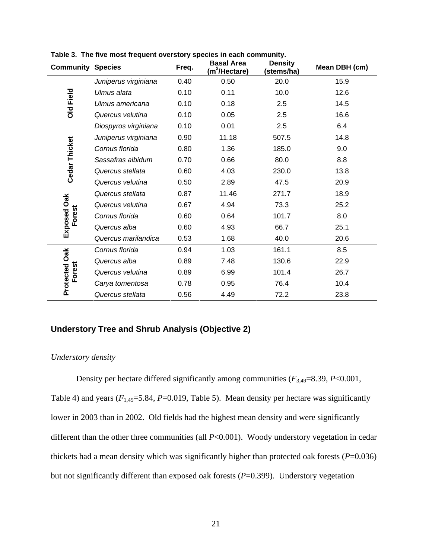| <b>Community Species</b> |                      | Freq. | <b>Basal Area</b><br>(m <sup>2</sup> /Hectare) | <b>Density</b><br>(stems/ha) | Mean DBH (cm) |
|--------------------------|----------------------|-------|------------------------------------------------|------------------------------|---------------|
|                          | Juniperus virginiana | 0.40  | 0.50                                           | 20.0                         | 15.9          |
|                          | Ulmus alata          | 0.10  | 0.11                                           | 10.0                         | 12.6          |
| <b>Old Field</b>         | Ulmus americana      | 0.10  | 0.18                                           | 2.5                          | 14.5          |
|                          | Quercus velutina     | 0.10  | 0.05                                           | 2.5                          | 16.6          |
|                          | Diospyros virginiana | 0.10  | 0.01                                           | 2.5                          | 6.4           |
|                          | Juniperus virginiana | 0.90  | 11.18                                          | 507.5                        | 14.8          |
| <b>Cedar Thicket</b>     | Cornus florida       | 0.80  | 1.36                                           | 185.0                        | 9.0           |
|                          | Sassafras albidum    | 0.70  | 0.66                                           | 80.0                         | 8.8           |
|                          | Quercus stellata     | 0.60  | 4.03                                           | 230.0                        | 13.8          |
|                          | Quercus velutina     | 0.50  | 2.89                                           | 47.5                         | 20.9          |
|                          | Quercus stellata     | 0.87  | 11.46                                          | 271.7                        | 18.9          |
|                          | Quercus velutina     | 0.67  | 4.94                                           | 73.3                         | 25.2          |
| Forest                   | Cornus florida       | 0.60  | 0.64                                           | 101.7                        | 8.0           |
| Exposed Oak              | Quercus alba         | 0.60  | 4.93                                           | 66.7                         | 25.1          |
|                          | Quercus marilandica  | 0.53  | 1.68                                           | 40.0                         | 20.6          |
|                          | Cornus florida       | 0.94  | 1.03                                           | 161.1                        | 8.5           |
|                          | Quercus alba         | 0.89  | 7.48                                           | 130.6                        | 22.9          |
| Forest                   | Quercus velutina     | 0.89  | 6.99                                           | 101.4                        | 26.7          |
| <b>Protected Oak</b>     | Carya tomentosa      | 0.78  | 0.95                                           | 76.4                         | 10.4          |
|                          | Quercus stellata     | 0.56  | 4.49                                           | 72.2                         | 23.8          |

**Table 3. The five most frequent overstory species in each community.** 

# **Understory Tree and Shrub Analysis (Objective 2)**

#### *Understory density*

 Density per hectare differed significantly among communities (*F*3,49=8.39, *P*<0.001, Table 4) and years  $(F_{1,49}=5.84, P=0.019,$  Table 5). Mean density per hectare was significantly lower in 2003 than in 2002. Old fields had the highest mean density and were significantly different than the other three communities (all *P*<0.001). Woody understory vegetation in cedar thickets had a mean density which was significantly higher than protected oak forests (*P*=0.036) but not significantly different than exposed oak forests ( $P=0.399$ ). Understory vegetation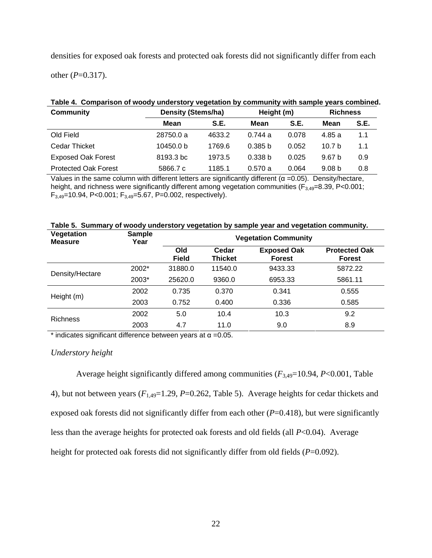densities for exposed oak forests and protected oak forests did not significantly differ from each

other  $(P=0.317)$ .

| rable +. Comparison or woody understory vegetation by community with sample years combined |                           |        |                    |       |                   |      |  |  |  |
|--------------------------------------------------------------------------------------------|---------------------------|--------|--------------------|-------|-------------------|------|--|--|--|
| <b>Community</b>                                                                           | <b>Density (Stems/ha)</b> |        | Height (m)         |       | <b>Richness</b>   |      |  |  |  |
|                                                                                            | Mean                      | S.E.   | Mean               | S.E.  | Mean              | S.E. |  |  |  |
| Old Field                                                                                  | 28750.0 a                 | 4633.2 | 0.744a             | 0.078 | 4.85a             | 1.1  |  |  |  |
| <b>Cedar Thicket</b>                                                                       | 10450.0 b                 | 1769.6 | 0.385 <sub>b</sub> | 0.052 | 10.7 <sub>b</sub> | 1.1  |  |  |  |
| <b>Exposed Oak Forest</b>                                                                  | 8193.3 bc                 | 1973.5 | 0.338 <sub>b</sub> | 0.025 | 9.67 <sub>b</sub> | 0.9  |  |  |  |
| <b>Protected Oak Forest</b>                                                                | 5866.7 c                  | 1185.1 | 0.570a             | 0.064 | 9.08 <sub>b</sub> | 0.8  |  |  |  |

# **Table 4. Comparison of woody understory vegetation by community with sample years combined.**

Values in the same column with different letters are significantly different ( $\alpha$  =0.05). Density/hectare, height, and richness were significantly different among vegetation communities ( $F_{3,49}=8.39$ , P<0.001;  $F_{3,49}$ =10.94, P<0.001;  $F_{3,49}$ =5.67, P=0.002, respectively).

| Vegetation<br><b>Measure</b> | <b>Sample</b><br>Year | <b>Vegetation Community</b> |                         |                                     |                                       |  |  |
|------------------------------|-----------------------|-----------------------------|-------------------------|-------------------------------------|---------------------------------------|--|--|
|                              |                       | Old<br><b>Field</b>         | Cedar<br><b>Thicket</b> | <b>Exposed Oak</b><br><b>Forest</b> | <b>Protected Oak</b><br><b>Forest</b> |  |  |
| Density/Hectare              | 2002*                 | 31880.0                     | 11540.0                 | 9433.33                             | 5872.22                               |  |  |
|                              | 2003*                 | 25620.0                     | 9360.0                  | 6953.33                             | 5861.11                               |  |  |
|                              | 2002                  | 0.735                       | 0.370                   | 0.341                               | 0.555                                 |  |  |
| Height (m)                   | 2003                  | 0.752                       | 0.400                   | 0.336                               | 0.585                                 |  |  |
|                              | 2002                  | 5.0                         | 10.4                    | 10.3                                | 9.2                                   |  |  |
| <b>Richness</b>              | 2003                  | 4.7                         | 11.0                    | 9.0                                 | 8.9                                   |  |  |

**Table 5. Summary of woody understory vegetation by sample year and vegetation community.** 

 $*$  indicates significant difference between years at  $\alpha = 0.05$ .

## *Understory height*

Average height significantly differed among communities  $(F_{3,49}=10.94, P<0.001,$  Table 4), but not between years (*F*1,49=1.29, *P*=0.262, Table 5). Average heights for cedar thickets and exposed oak forests did not significantly differ from each other (*P*=0.418), but were significantly less than the average heights for protected oak forests and old fields (all *P*<0.04). Average height for protected oak forests did not significantly differ from old fields (*P*=0.092).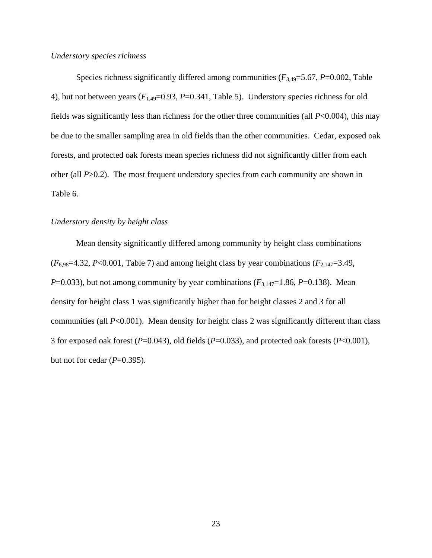### *Understory species richness*

Species richness significantly differed among communities  $(F_{3,49}=5.67, P=0.002,$  Table 4), but not between years (*F*1,49=0.93, *P*=0.341, Table 5). Understory species richness for old fields was significantly less than richness for the other three communities (all *P*<0.004), this may be due to the smaller sampling area in old fields than the other communities. Cedar, exposed oak forests, and protected oak forests mean species richness did not significantly differ from each other (all *P*>0.2). The most frequent understory species from each community are shown in Table 6.

## *Understory density by height class*

 Mean density significantly differed among community by height class combinations  $(F_{6,98}=4.32, P<0.001,$  Table 7) and among height class by year combinations  $(F_{2,147}=3.49,$ *P*=0.033), but not among community by year combinations ( $F_{3,147}=1.86$ , *P*=0.138). Mean density for height class 1 was significantly higher than for height classes 2 and 3 for all communities (all *P*<0.001). Mean density for height class 2 was significantly different than class 3 for exposed oak forest (*P*=0.043), old fields (*P*=0.033), and protected oak forests (*P*<0.001), but not for cedar (*P*=0.395).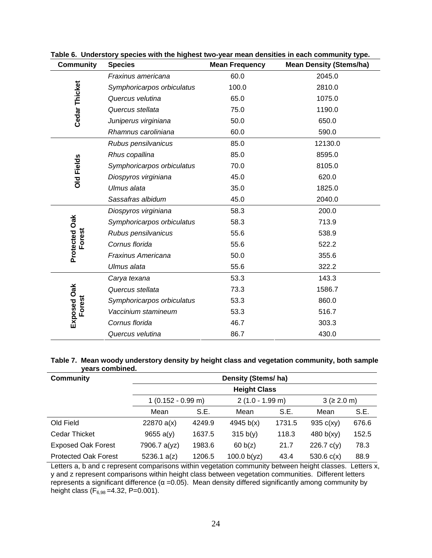| <b>Community</b>     | <b>Species</b>             | <b>Mean Frequency</b> | <b>Mean Density (Stems/ha)</b> |
|----------------------|----------------------------|-----------------------|--------------------------------|
|                      | Fraxinus americana         | 60.0                  | 2045.0                         |
|                      | Symphoricarpos orbiculatus | 100.0                 | 2810.0                         |
| <b>Cedar Thicket</b> | Quercus velutina           | 65.0                  | 1075.0                         |
|                      | Quercus stellata           | 75.0                  | 1190.0                         |
|                      | Juniperus virginiana       | 50.0                  | 650.0                          |
|                      | Rhamnus caroliniana        | 60.0                  | 590.0                          |
|                      | Rubus pensilvanicus        | 85.0                  | 12130.0                        |
|                      | Rhus copallina             | 85.0                  | 8595.0                         |
| <b>Old Fields</b>    | Symphoricarpos orbiculatus | 70.0                  | 8105.0                         |
|                      | Diospyros virginiana       | 45.0                  | 620.0                          |
|                      | Ulmus alata                | 35.0                  | 1825.0                         |
|                      | Sassafras albidum          | 45.0                  | 2040.0                         |
|                      | Diospyros virginiana       | 58.3                  | 200.0                          |
| Protected Oak        | Symphoricarpos orbiculatus | 58.3                  | 713.9                          |
| Forest               | Rubus pensilvanicus        | 55.6                  | 538.9                          |
|                      | Cornus florida             | 55.6                  | 522.2                          |
|                      | Fraxinus Americana         | 50.0                  | 355.6                          |
|                      | Ulmus alata                | 55.6                  | 322.2                          |
|                      | Carya texana               | 53.3                  | 143.3                          |
| Exposed Oak          | Quercus stellata           | 73.3                  | 1586.7                         |
| Forest               | Symphoricarpos orbiculatus | 53.3                  | 860.0                          |
|                      | Vaccinium stamineum        | 53.3                  | 516.7                          |
|                      | Cornus florida             | 46.7                  | 303.3                          |
|                      | Quercus velutina           | 86.7                  | 430.0                          |

**Table 6. Understory species with the highest two-year mean densities in each community type.** 

#### **Table 7. Mean woody understory density by height class and vegetation community, both sample years combined.**

| <b>Community</b>            | Density (Stems/ha)   |        |                    |        |                            |       |  |  |
|-----------------------------|----------------------|--------|--------------------|--------|----------------------------|-------|--|--|
|                             | <b>Height Class</b>  |        |                    |        |                            |       |  |  |
|                             | $1(0.152 - 0.99)$ m) |        | $2(1.0 - 1.99)$ m) |        | $3 ( \geq 2.0 \text{ m} )$ |       |  |  |
|                             | Mean                 | S.E.   | Mean               | S.E.   | Mean                       | S.E.  |  |  |
| Old Field                   | 22870 a(x)           | 4249.9 | 4945 $b(x)$        | 1731.5 | 935 $c(xy)$                | 676.6 |  |  |
| Cedar Thicket               | 9655 a(y)            | 1637.5 | 315 b(y)           | 118.3  | 480 $b(xy)$                | 152.5 |  |  |
| <b>Exposed Oak Forest</b>   | 7906.7 a(yz)         | 1983.6 | 60 b(z)            | 21.7   | 226.7 $c(y)$               | 78.3  |  |  |
| <b>Protected Oak Forest</b> | 5236.1 a(z)          | 1206.5 | 100.0 $b(yz)$      | 43.4   | 530.6 $c(x)$               | 88.9  |  |  |

Letters a, b and c represent comparisons within vegetation community between height classes. Letters x, y and z represent comparisons within height class between vegetation communities. Different letters represents a significant difference ( $\alpha$  =0.05). Mean density differed significantly among community by height class  $(F_{6,98} = 4.32, P = 0.001)$ .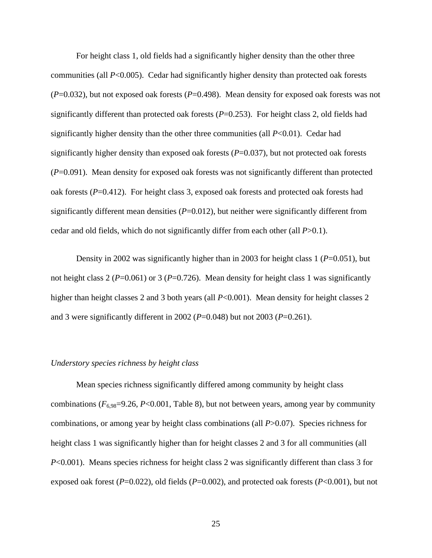For height class 1, old fields had a significantly higher density than the other three communities (all *P*<0.005). Cedar had significantly higher density than protected oak forests (*P*=0.032), but not exposed oak forests (*P*=0.498). Mean density for exposed oak forests was not significantly different than protected oak forests  $(P=0.253)$ . For height class 2, old fields had significantly higher density than the other three communities (all *P*<0.01). Cedar had significantly higher density than exposed oak forests (*P*=0.037), but not protected oak forests (*P*=0.091). Mean density for exposed oak forests was not significantly different than protected oak forests (*P*=0.412). For height class 3, exposed oak forests and protected oak forests had significantly different mean densities  $(P=0.012)$ , but neither were significantly different from cedar and old fields, which do not significantly differ from each other (all *P*>0.1).

 Density in 2002 was significantly higher than in 2003 for height class 1 (*P*=0.051), but not height class 2 (*P*=0.061) or 3 (*P*=0.726). Mean density for height class 1 was significantly higher than height classes 2 and 3 both years (all *P*<0.001). Mean density for height classes 2 and 3 were significantly different in 2002 (*P*=0.048) but not 2003 (*P*=0.261).

#### *Understory species richness by height class*

 Mean species richness significantly differed among community by height class combinations  $(F_{6.98} = 9.26, P < 0.001,$  Table 8), but not between years, among year by community combinations, or among year by height class combinations (all *P*>0.07). Species richness for height class 1 was significantly higher than for height classes 2 and 3 for all communities (all *P*<0.001). Means species richness for height class 2 was significantly different than class 3 for exposed oak forest (*P*=0.022), old fields (*P*=0.002), and protected oak forests (*P*<0.001), but not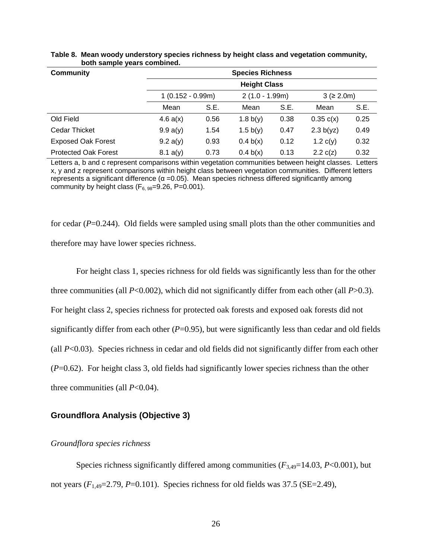| <b>Community</b>            | <b>Species Richness</b> |                    |            |                  |            |            |  |  |
|-----------------------------|-------------------------|--------------------|------------|------------------|------------|------------|--|--|
|                             | <b>Height Class</b>     |                    |            |                  |            |            |  |  |
|                             |                         | $1(0.152 - 0.99m)$ |            | $2(1.0 - 1.99m)$ |            | 3 (≥ 2.0m) |  |  |
|                             | Mean                    | S.E.               | Mean       | S.E.             | Mean       | S.E.       |  |  |
| Old Field                   | 4.6 a(x)                | 0.56               | 1.8 $b(y)$ | 0.38             | 0.35 c(x)  | 0.25       |  |  |
| <b>Cedar Thicket</b>        | 9.9 a(y)                | 1.54               | 1.5 $b(y)$ | 0.47             | 2.3 b(yz)  | 0.49       |  |  |
| <b>Exposed Oak Forest</b>   | 9.2 a(y)                | 0.93               | 0.4 b(x)   | 0.12             | 1.2 $c(y)$ | 0.32       |  |  |
| <b>Protected Oak Forest</b> | 8.1 a(y)                | 0.73               | 0.4 b(x)   | 0.13             | 2.2 c(z)   | 0.32       |  |  |

#### **Table 8. Mean woody understory species richness by height class and vegetation community, both sample years combined.**

Letters a, b and c represent comparisons within vegetation communities between height classes. Letters x, y and z represent comparisons within height class between vegetation communities. Different letters represents a significant difference  $(α = 0.05)$ . Mean species richness differed significantly among community by height class ( $F_{6.98}=9.26$ , P=0.001).

for cedar (*P*=0.244). Old fields were sampled using small plots than the other communities and therefore may have lower species richness.

 For height class 1, species richness for old fields was significantly less than for the other three communities (all *P*<0.002), which did not significantly differ from each other (all *P*>0.3). For height class 2, species richness for protected oak forests and exposed oak forests did not significantly differ from each other  $(P=0.95)$ , but were significantly less than cedar and old fields (all *P*<0.03). Species richness in cedar and old fields did not significantly differ from each other (*P*=0.62). For height class 3, old fields had significantly lower species richness than the other three communities (all *P*<0.04).

## **Groundflora Analysis (Objective 3)**

#### *Groundflora species richness*

Species richness significantly differed among communities  $(F_{3,49}=14.03, P<0.001)$ , but not years  $(F_{1,49}=2.79, P=0.101)$ . Species richness for old fields was 37.5 (SE=2.49),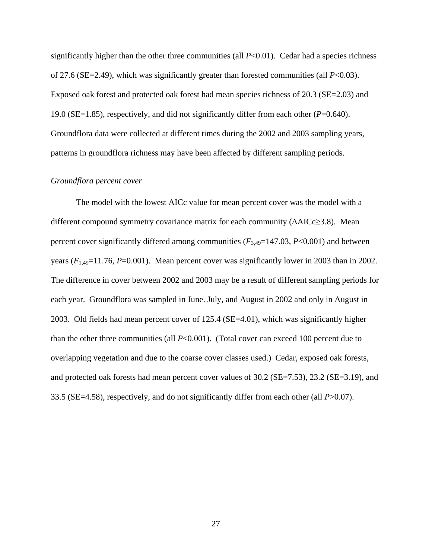significantly higher than the other three communities (all  $P<0.01$ ). Cedar had a species richness of 27.6 (SE=2.49), which was significantly greater than forested communities (all *P*<0.03). Exposed oak forest and protected oak forest had mean species richness of 20.3 (SE=2.03) and 19.0 (SE=1.85), respectively, and did not significantly differ from each other (*P*=0.640). Groundflora data were collected at different times during the 2002 and 2003 sampling years, patterns in groundflora richness may have been affected by different sampling periods.

#### *Groundflora percent cover*

 The model with the lowest AICc value for mean percent cover was the model with a different compound symmetry covariance matrix for each community (ΔAICc≥3.8). Mean percent cover significantly differed among communities  $(F_{3,49}=147.03, P<0.001)$  and between years  $(F_{1,49}=11.76, P=0.001)$ . Mean percent cover was significantly lower in 2003 than in 2002. The difference in cover between 2002 and 2003 may be a result of different sampling periods for each year. Groundflora was sampled in June. July, and August in 2002 and only in August in 2003. Old fields had mean percent cover of 125.4 (SE=4.01), which was significantly higher than the other three communities (all *P*<0.001). (Total cover can exceed 100 percent due to overlapping vegetation and due to the coarse cover classes used.) Cedar, exposed oak forests, and protected oak forests had mean percent cover values of 30.2 (SE=7.53), 23.2 (SE=3.19), and 33.5 (SE=4.58), respectively, and do not significantly differ from each other (all *P*>0.07).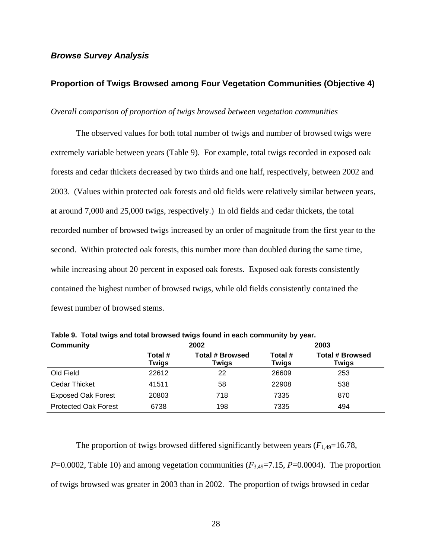## *Browse Survey Analysis*

# **Proportion of Twigs Browsed among Four Vegetation Communities (Objective 4)**

#### *Overall comparison of proportion of twigs browsed between vegetation communities*

 The observed values for both total number of twigs and number of browsed twigs were extremely variable between years (Table 9). For example, total twigs recorded in exposed oak forests and cedar thickets decreased by two thirds and one half, respectively, between 2002 and 2003. (Values within protected oak forests and old fields were relatively similar between years, at around 7,000 and 25,000 twigs, respectively.) In old fields and cedar thickets, the total recorded number of browsed twigs increased by an order of magnitude from the first year to the second. Within protected oak forests, this number more than doubled during the same time, while increasing about 20 percent in exposed oak forests. Exposed oak forests consistently contained the highest number of browsed twigs, while old fields consistently contained the fewest number of browsed stems.

| <b>Community</b>            |                         | 2002                            | 2003                    |                                 |  |
|-----------------------------|-------------------------|---------------------------------|-------------------------|---------------------------------|--|
|                             | Total #<br><b>Twigs</b> | <b>Total # Browsed</b><br>Twigs | Total #<br><b>Twigs</b> | <b>Total # Browsed</b><br>Twigs |  |
| Old Field                   | 22612                   | 22                              | 26609                   | 253                             |  |
| <b>Cedar Thicket</b>        | 41511                   | 58                              | 22908                   | 538                             |  |
| <b>Exposed Oak Forest</b>   | 20803                   | 718                             | 7335                    | 870                             |  |
| <b>Protected Oak Forest</b> | 6738                    | 198                             | 7335                    | 494                             |  |

**Table 9. Total twigs and total browsed twigs found in each community by year.** 

The proportion of twigs browsed differed significantly between years  $(F_{1,49}=16.78,$ *P*=0.0002, Table 10) and among vegetation communities ( $F_{3,49}$ =7.15, *P*=0.0004). The proportion of twigs browsed was greater in 2003 than in 2002. The proportion of twigs browsed in cedar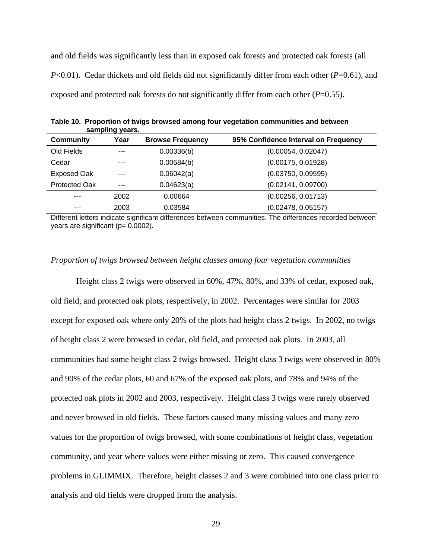and old fields was significantly less than in exposed oak forests and protected oak forests (all *P*<0.01). Cedar thickets and old fields did not significantly differ from each other (*P*=0.61), and exposed and protected oak forests do not significantly differ from each other  $(P=0.55)$ .

|                    | sampling years. |                         |                                      |
|--------------------|-----------------|-------------------------|--------------------------------------|
| <b>Community</b>   | Year            | <b>Browse Frequency</b> | 95% Confidence Interval on Frequency |
| Old Fields         | ---             | 0.00336(b)              | (0.00054, 0.02047)                   |
| Cedar              | $- - -$         | 0.00584(b)              | (0.00175, 0.01928)                   |
| <b>Exposed Oak</b> | $- - -$         | 0.06042(a)              | (0.03750, 0.09595)                   |
| Protected Oak      | $---$           | 0.04623(a)              | (0.02141, 0.09700)                   |
| $-- -$             | 2002            | 0.00664                 | (0.00256, 0.01713)                   |
| ---                | 2003            | 0.03584                 | (0.02478, 0.05157)                   |

**Table 10. Proportion of twigs browsed among four vegetation communities and between sampling years.** 

Different letters indicate significant differences between communities. The differences recorded between years are significant (p= 0.0002).

### *Proportion of twigs browsed between height classes among four vegetation communities*

 Height class 2 twigs were observed in 60%, 47%, 80%, and 33% of cedar, exposed oak, old field, and protected oak plots, respectively, in 2002. Percentages were similar for 2003 except for exposed oak where only 20% of the plots had height class 2 twigs. In 2002, no twigs of height class 2 were browsed in cedar, old field, and protected oak plots. In 2003, all communities had some height class 2 twigs browsed. Height class 3 twigs were observed in 80% and 90% of the cedar plots, 60 and 67% of the exposed oak plots, and 78% and 94% of the protected oak plots in 2002 and 2003, respectively. Height class 3 twigs were rarely observed and never browsed in old fields. These factors caused many missing values and many zero values for the proportion of twigs browsed, with some combinations of height class, vegetation community, and year where values were either missing or zero. This caused convergence problems in GLIMMIX. Therefore, height classes 2 and 3 were combined into one class prior to analysis and old fields were dropped from the analysis.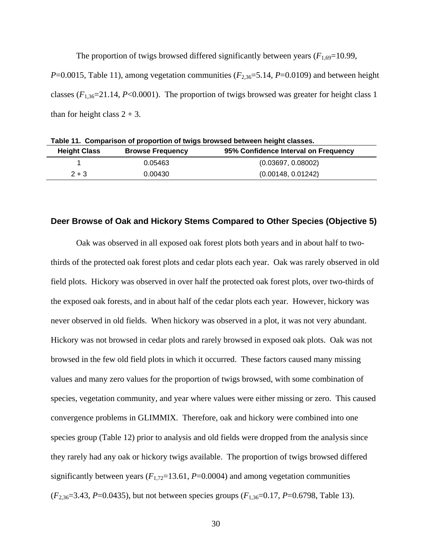The proportion of twigs browsed differed significantly between years  $(F_{1,69}=10.99)$ , *P*=0.0015, Table 11), among vegetation communities ( $F_{2,36}=5.14$ , *P*=0.0109) and between height classes  $(F_{1,36}=21.14, P<0.0001)$ . The proportion of twigs browsed was greater for height class 1 than for height class  $2 + 3$ .

| 95% Confidence Interval on Frequency<br><b>Height Class</b><br><b>Browse Frequency</b> | Table 11. Comparison of proportion of twigs browsed between height classes. |         |                    |  |  |  |
|----------------------------------------------------------------------------------------|-----------------------------------------------------------------------------|---------|--------------------|--|--|--|
|                                                                                        |                                                                             |         |                    |  |  |  |
|                                                                                        |                                                                             | 0.05463 | (0.03697, 0.08002) |  |  |  |
| (0.00148, 0.01242)<br>$2 + 3$<br>0.00430                                               |                                                                             |         |                    |  |  |  |

# **Deer Browse of Oak and Hickory Stems Compared to Other Species (Objective 5)**

 Oak was observed in all exposed oak forest plots both years and in about half to twothirds of the protected oak forest plots and cedar plots each year. Oak was rarely observed in old field plots. Hickory was observed in over half the protected oak forest plots, over two-thirds of the exposed oak forests, and in about half of the cedar plots each year. However, hickory was never observed in old fields. When hickory was observed in a plot, it was not very abundant. Hickory was not browsed in cedar plots and rarely browsed in exposed oak plots. Oak was not browsed in the few old field plots in which it occurred. These factors caused many missing values and many zero values for the proportion of twigs browsed, with some combination of species, vegetation community, and year where values were either missing or zero. This caused convergence problems in GLIMMIX. Therefore, oak and hickory were combined into one species group (Table 12) prior to analysis and old fields were dropped from the analysis since they rarely had any oak or hickory twigs available. The proportion of twigs browsed differed significantly between years  $(F_{1,72}=13.61, P=0.0004)$  and among vegetation communities (*F*2,36=3.43, *P*=0.0435), but not between species groups (*F*1,36=0.17, *P*=0.6798, Table 13).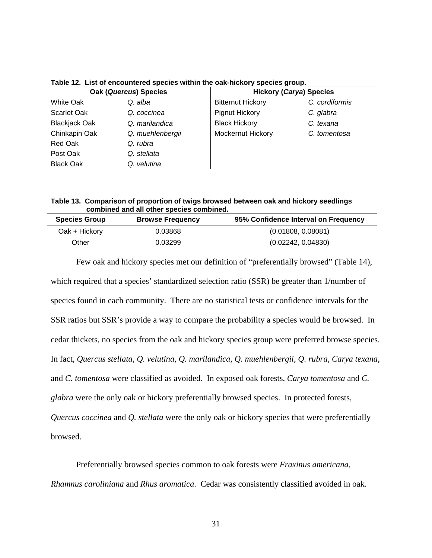| <b>Oak (Quercus) Species</b> |                  | <b>Hickory (Carya) Species</b> |                |  |
|------------------------------|------------------|--------------------------------|----------------|--|
| <b>White Oak</b>             | Q. alba          | <b>Bitternut Hickory</b>       | C. cordiformis |  |
| Scarlet Oak                  | Q. coccinea      | <b>Pignut Hickory</b>          | C. glabra      |  |
| <b>Blackjack Oak</b>         | Q. marilandica   | <b>Black Hickory</b>           | C. texana      |  |
| Chinkapin Oak                | Q. muehlenbergii | Mockernut Hickory              | C. tomentosa   |  |
| Red Oak                      | Q. rubra         |                                |                |  |
| Post Oak                     | Q. stellata      |                                |                |  |
| <b>Black Oak</b>             | Q. velutina      |                                |                |  |

**Table 12. List of encountered species within the oak-hickory species group.** 

**Table 13. Comparison of proportion of twigs browsed between oak and hickory seedlings combined and all other species combined.** 

| <b>Species Group</b> | <b>Browse Frequency</b> | 95% Confidence Interval on Frequency |
|----------------------|-------------------------|--------------------------------------|
| Oak + Hickory        | 0.03868                 | (0.01808, 0.08081)                   |
| Other                | 0.03299                 | (0.02242, 0.04830)                   |

 Few oak and hickory species met our definition of "preferentially browsed" (Table 14), which required that a species' standardized selection ratio (SSR) be greater than 1/number of species found in each community. There are no statistical tests or confidence intervals for the SSR ratios but SSR's provide a way to compare the probability a species would be browsed. In cedar thickets, no species from the oak and hickory species group were preferred browse species. In fact, *Quercus stellata, Q. velutina, Q. marilandica, Q. muehlenbergii, Q. rubra, Carya texana*, and *C. tomentosa* were classified as avoided. In exposed oak forests, *Carya tomentosa* and *C. glabra* were the only oak or hickory preferentially browsed species. In protected forests, *Quercus coccinea* and *Q. stellata* were the only oak or hickory species that were preferentially browsed.

 Preferentially browsed species common to oak forests were *Fraxinus americana, Rhamnus caroliniana* and *Rhus aromatica*. Cedar was consistently classified avoided in oak.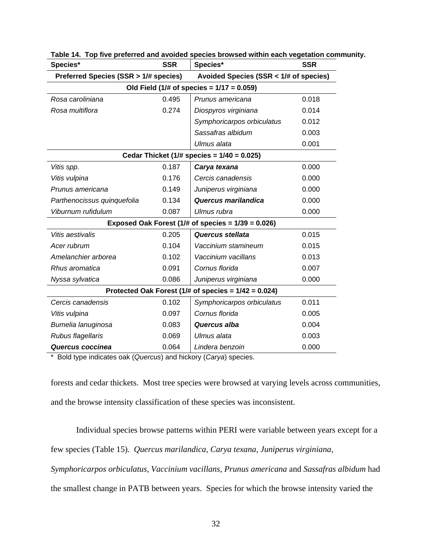| Species*                                                   | <b>SSR</b>                             | Species*                                     | <b>SSR</b> |  |  |  |  |
|------------------------------------------------------------|----------------------------------------|----------------------------------------------|------------|--|--|--|--|
| Preferred Species (SSR > 1/# species)                      | Avoided Species (SSR < 1/# of species) |                                              |            |  |  |  |  |
|                                                            |                                        | Old Field (1/# of species = $1/17 = 0.059$ ) |            |  |  |  |  |
| Rosa caroliniana                                           | 0.495                                  | Prunus americana                             | 0.018      |  |  |  |  |
| Rosa multiflora                                            | 0.274                                  | Diospyros virginiana                         | 0.014      |  |  |  |  |
|                                                            |                                        | Symphoricarpos orbiculatus                   | 0.012      |  |  |  |  |
|                                                            |                                        |                                              | 0.003      |  |  |  |  |
|                                                            |                                        | Ulmus alata                                  | 0.001      |  |  |  |  |
| Cedar Thicket (1/# species = $1/40 = 0.025$ )              |                                        |                                              |            |  |  |  |  |
| Vitis spp.                                                 | 0.187                                  | Carya texana                                 | 0.000      |  |  |  |  |
| Vitis vulpina                                              | 0.176                                  | Cercis canadensis                            | 0.000      |  |  |  |  |
| Prunus americana                                           | 0.149                                  | Juniperus virginiana                         | 0.000      |  |  |  |  |
| Parthenocissus quinquefolia                                | 0.134                                  | Quercus marilandica                          | 0.000      |  |  |  |  |
| Viburnum rufidulum                                         | 0.087                                  | Ulmus rubra                                  | 0.000      |  |  |  |  |
| Exposed Oak Forest (1/# of species = $1/39 = 0.026$ )      |                                        |                                              |            |  |  |  |  |
| Vitis aestivalis                                           | 0.205                                  | Quercus stellata                             | 0.015      |  |  |  |  |
| Acer rubrum                                                | 0.104                                  | Vaccinium stamineum                          | 0.015      |  |  |  |  |
| Amelanchier arborea                                        | 0.102                                  | Vaccinium vacillans                          | 0.013      |  |  |  |  |
| Rhus aromatica                                             | 0.091                                  | Cornus florida                               | 0.007      |  |  |  |  |
| Nyssa sylvatica                                            | 0.086                                  | Juniperus virginiana                         | 0.000      |  |  |  |  |
| Protected Oak Forest $(1/\#$ of species = $1/42 = 0.024$ ) |                                        |                                              |            |  |  |  |  |
| Cercis canadensis                                          | 0.102                                  | Symphoricarpos orbiculatus                   | 0.011      |  |  |  |  |
| Vitis vulpina                                              | 0.097                                  | Cornus florida                               | 0.005      |  |  |  |  |
| Bumelia lanuginosa                                         | 0.083                                  | Quercus alba                                 | 0.004      |  |  |  |  |
| Rubus flagellaris                                          | 0.069                                  | Ulmus alata                                  | 0.003      |  |  |  |  |
| Quercus coccinea                                           | 0.064                                  | Lindera benzoin                              | 0.000      |  |  |  |  |

**Table 14. Top five preferred and avoided species browsed within each vegetation community.** 

\* Bold type indicates oak (*Quercus*) and hickory (*Carya*) species.

forests and cedar thickets. Most tree species were browsed at varying levels across communities, and the browse intensity classification of these species was inconsistent.

 Individual species browse patterns within PERI were variable between years except for a few species (Table 15). *Quercus marilandica, Carya texana, Juniperus virginiana,* 

*Symphoricarpos orbiculatus, Vaccinium vacillans, Prunus americana* and *Sassafras albidum* had

the smallest change in PATB between years.Species for which the browse intensity varied the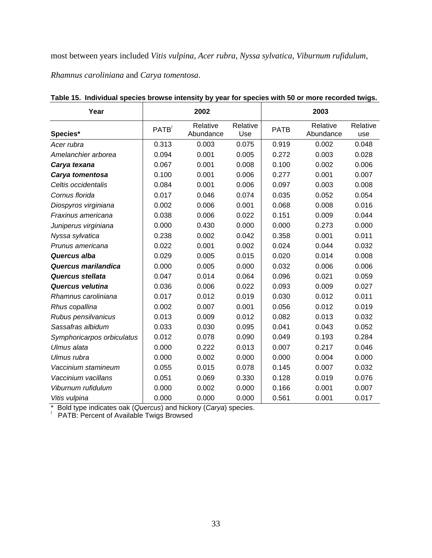most between years included *Vitis vulpina, Acer rubra, Nyssa sylvatica, Viburnum rufidulum,* 

*Rhamnus caroliniana* and *Carya tomentosa*.

| Year                       | 2002              |                       |                 | 2003        |                       |                 |  |
|----------------------------|-------------------|-----------------------|-----------------|-------------|-----------------------|-----------------|--|
| Species*                   | PATB <sup>1</sup> | Relative<br>Abundance | Relative<br>Use | <b>PATB</b> | Relative<br>Abundance | Relative<br>use |  |
| Acer rubra                 | 0.313             | 0.003                 | 0.075           | 0.919       | 0.002                 | 0.048           |  |
| Amelanchier arborea        | 0.094             | 0.001                 | 0.005           | 0.272       | 0.003                 | 0.028           |  |
| Carya texana               | 0.067             | 0.001                 | 0.008           | 0.100       | 0.002                 | 0.006           |  |
| Carya tomentosa            | 0.100             | 0.001                 | 0.006           | 0.277       | 0.001                 | 0.007           |  |
| Celtis occidentalis        | 0.084             | 0.001                 | 0.006           | 0.097       | 0.003                 | 0.008           |  |
| Cornus florida             | 0.017             | 0.046                 | 0.074           | 0.035       | 0.052                 | 0.054           |  |
| Diospyros virginiana       | 0.002             | 0.006                 | 0.001           | 0.068       | 0.008                 | 0.016           |  |
| Fraxinus americana         | 0.038             | 0.006                 | 0.022           | 0.151       | 0.009                 | 0.044           |  |
| Juniperus virginiana       | 0.000             | 0.430                 | 0.000           | 0.000       | 0.273                 | 0.000           |  |
| Nyssa sylvatica            | 0.238             | 0.002                 | 0.042           | 0.358       | 0.001                 | 0.011           |  |
| Prunus americana           | 0.022             | 0.001                 | 0.002           | 0.024       | 0.044                 | 0.032           |  |
| Quercus alba               | 0.029             | 0.005                 | 0.015           | 0.020       | 0.014                 | 0.008           |  |
| Quercus marilandica        | 0.000             | 0.005                 | 0.000           | 0.032       | 0.006                 | 0.006           |  |
| Quercus stellata           | 0.047             | 0.014                 | 0.064           | 0.096       | 0.021                 | 0.059           |  |
| <b>Quercus velutina</b>    | 0.036             | 0.006                 | 0.022           | 0.093       | 0.009                 | 0.027           |  |
| Rhamnus caroliniana        | 0.017             | 0.012                 | 0.019           | 0.030       | 0.012                 | 0.011           |  |
| Rhus copallina             | 0.002             | 0.007                 | 0.001           | 0.056       | 0.012                 | 0.019           |  |
| Rubus pensilvanicus        | 0.013             | 0.009                 | 0.012           | 0.082       | 0.013                 | 0.032           |  |
| Sassafras albidum          | 0.033             | 0.030                 | 0.095           | 0.041       | 0.043                 | 0.052           |  |
| Symphoricarpos orbiculatus | 0.012             | 0.078                 | 0.090           | 0.049       | 0.193                 | 0.284           |  |
| Ulmus alata                | 0.000             | 0.222                 | 0.013           | 0.007       | 0.217                 | 0.046           |  |
| Ulmus rubra                | 0.000             | 0.002                 | 0.000           | 0.000       | 0.004                 | 0.000           |  |
| Vaccinium stamineum        | 0.055             | 0.015                 | 0.078           | 0.145       | 0.007                 | 0.032           |  |
| Vaccinium vacillans        | 0.051             | 0.069                 | 0.330           | 0.128       | 0.019                 | 0.076           |  |
| Viburnum rufidulum         | 0.000             | 0.002                 | 0.000           | 0.166       | 0.001                 | 0.007           |  |
| Vitis vulpina              | 0.000             | 0.000                 | 0.000           | 0.561       | 0.001                 | 0.017           |  |

**Table 15. Individual species browse intensity by year for species with 50 or more recorded twigs.** 

\* Bold type indicates oak (*Quercus*) and hickory (*Carya*) species.<br><sup>!</sup> PATB: Percent of Available Twigs Browsed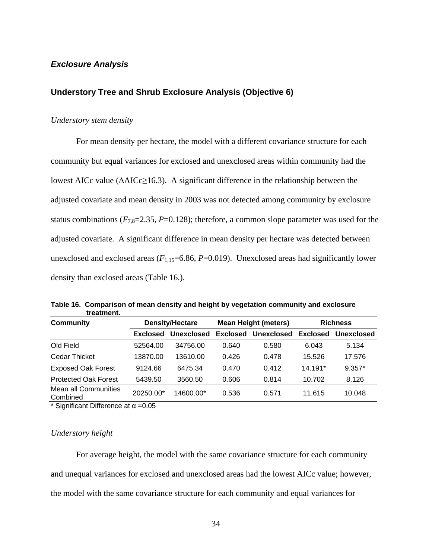## *Exclosure Analysis*

## **Understory Tree and Shrub Exclosure Analysis (Objective 6)**

## *Understory stem density*

 For mean density per hectare, the model with a different covariance structure for each community but equal variances for exclosed and unexclosed areas within community had the lowest AICc value ( $\triangle AICc \geq 16.3$ ). A significant difference in the relationship between the adjusted covariate and mean density in 2003 was not detected among community by exclosure status combinations  $(F_{7,8}=2.35, P=0.128)$ ; therefore, a common slope parameter was used for the adjusted covariate. A significant difference in mean density per hectare was detected between unexclosed and exclosed areas  $(F_{1,15}=6.86, P=0.019)$ . Unexclosed areas had significantly lower density than exclosed areas (Table 16.).

**Table 16. Comparison of mean density and height by vegetation community and exclosure treatment.** 

| <b>Community</b><br><b>Density/Hectare</b> |            |                 | <b>Richness</b> |                             |            |
|--------------------------------------------|------------|-----------------|-----------------|-----------------------------|------------|
| <b>Exclosed</b>                            | Unexclosed | <b>Exclosed</b> | Unexclosed      | <b>Exclosed</b>             | Unexclosed |
| 52564.00                                   | 34756.00   | 0.640           | 0.580           | 6.043                       | 5.134      |
| 13870.00                                   | 13610.00   | 0.426           | 0.478           | 15.526                      | 17.576     |
| 9124.66                                    | 6475.34    | 0.470           | 0.412           | 14.191*                     | $9.357*$   |
| 5439.50                                    | 3560.50    | 0.606           | 0.814           | 10.702                      | 8.126      |
| 20250.00*                                  | 14600.00*  | 0.536           | 0.571           | 11.615                      | 10.048     |
|                                            |            |                 |                 | <b>Mean Height (meters)</b> |            |

\* Significant Difference at  $\alpha$  =0.05

#### *Understory height*

 For average height, the model with the same covariance structure for each community and unequal variances for exclosed and unexclosed areas had the lowest AICc value; however, the model with the same covariance structure for each community and equal variances for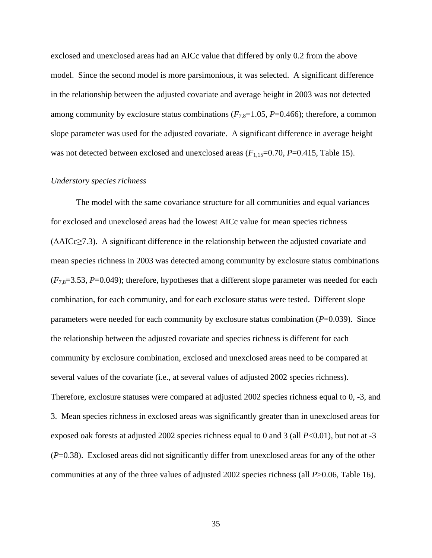exclosed and unexclosed areas had an AICc value that differed by only 0.2 from the above model. Since the second model is more parsimonious, it was selected. A significant difference in the relationship between the adjusted covariate and average height in 2003 was not detected among community by exclosure status combinations  $(F_{7,8}=1.05, P=0.466)$ ; therefore, a common slope parameter was used for the adjusted covariate. A significant difference in average height was not detected between exclosed and unexclosed areas  $(F_{1,15}=0.70, P=0.415,$  Table 15).

#### *Understory species richness*

 The model with the same covariance structure for all communities and equal variances for exclosed and unexclosed areas had the lowest AICc value for mean species richness (ΔAICc≥7.3). A significant difference in the relationship between the adjusted covariate and mean species richness in 2003 was detected among community by exclosure status combinations (*F*7,8=3.53, *P*=0.049); therefore, hypotheses that a different slope parameter was needed for each combination, for each community, and for each exclosure status were tested. Different slope parameters were needed for each community by exclosure status combination (*P*=0.039). Since the relationship between the adjusted covariate and species richness is different for each community by exclosure combination, exclosed and unexclosed areas need to be compared at several values of the covariate (i.e., at several values of adjusted 2002 species richness). Therefore, exclosure statuses were compared at adjusted 2002 species richness equal to 0, -3, and 3. Mean species richness in exclosed areas was significantly greater than in unexclosed areas for exposed oak forests at adjusted 2002 species richness equal to 0 and 3 (all *P*<0.01), but not at -3 (*P*=0.38). Exclosed areas did not significantly differ from unexclosed areas for any of the other communities at any of the three values of adjusted 2002 species richness (all *P*>0.06, Table 16).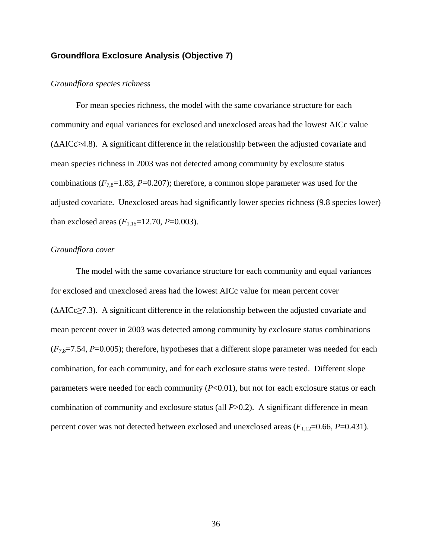## **Groundflora Exclosure Analysis (Objective 7)**

#### *Groundflora species richness*

 For mean species richness, the model with the same covariance structure for each community and equal variances for exclosed and unexclosed areas had the lowest AICc value  $(\Delta AICc \geq 4.8)$ . A significant difference in the relationship between the adjusted covariate and mean species richness in 2003 was not detected among community by exclosure status combinations  $(F_{7,8}=1.83, P=0.207)$ ; therefore, a common slope parameter was used for the adjusted covariate. Unexclosed areas had significantly lower species richness (9.8 species lower) than exclosed areas  $(F_{1,15}=12.70, P=0.003)$ .

#### *Groundflora cover*

 The model with the same covariance structure for each community and equal variances for exclosed and unexclosed areas had the lowest AICc value for mean percent cover (ΔAICc≥7.3). A significant difference in the relationship between the adjusted covariate and mean percent cover in 2003 was detected among community by exclosure status combinations  $(F_{7,8}=7.54, P=0.005)$ ; therefore, hypotheses that a different slope parameter was needed for each combination, for each community, and for each exclosure status were tested. Different slope parameters were needed for each community ( $P<0.01$ ), but not for each exclosure status or each combination of community and exclosure status (all *P*>0.2). A significant difference in mean percent cover was not detected between exclosed and unexclosed areas  $(F_{1,12}=0.66, P=0.431)$ .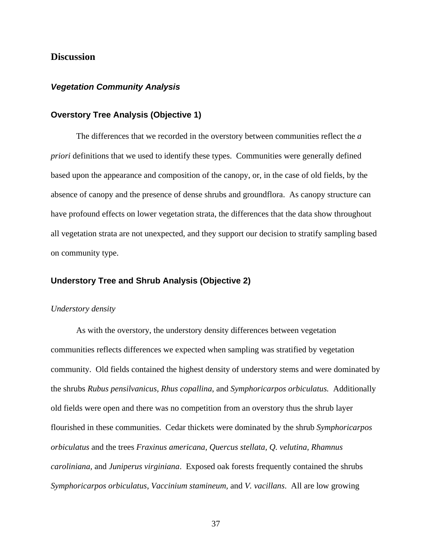# **Discussion**

## *Vegetation Community Analysis*

## **Overstory Tree Analysis (Objective 1)**

 The differences that we recorded in the overstory between communities reflect the *a priori* definitions that we used to identify these types. Communities were generally defined based upon the appearance and composition of the canopy, or, in the case of old fields, by the absence of canopy and the presence of dense shrubs and groundflora. As canopy structure can have profound effects on lower vegetation strata, the differences that the data show throughout all vegetation strata are not unexpected, and they support our decision to stratify sampling based on community type.

#### **Understory Tree and Shrub Analysis (Objective 2)**

#### *Understory density*

 As with the overstory, the understory density differences between vegetation communities reflects differences we expected when sampling was stratified by vegetation community. Old fields contained the highest density of understory stems and were dominated by the shrubs *Rubus pensilvanicus, Rhus copallina*, and *Symphoricarpos orbiculatus.* Additionally old fields were open and there was no competition from an overstory thus the shrub layer flourished in these communities. Cedar thickets were dominated by the shrub *Symphoricarpos orbiculatus* and the trees *Fraxinus americana, Quercus stellata, Q. velutina, Rhamnus caroliniana,* and *Juniperus virginiana*. Exposed oak forests frequently contained the shrubs *Symphoricarpos orbiculatus, Vaccinium stamineum,* and *V. vacillans*. All are low growing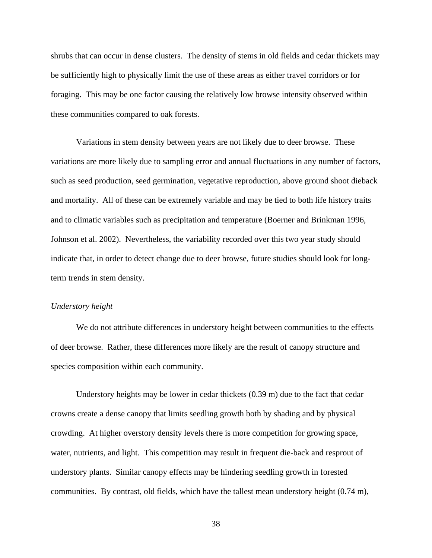shrubs that can occur in dense clusters. The density of stems in old fields and cedar thickets may be sufficiently high to physically limit the use of these areas as either travel corridors or for foraging. This may be one factor causing the relatively low browse intensity observed within these communities compared to oak forests.

 Variations in stem density between years are not likely due to deer browse. These variations are more likely due to sampling error and annual fluctuations in any number of factors, such as seed production, seed germination, vegetative reproduction, above ground shoot dieback and mortality. All of these can be extremely variable and may be tied to both life history traits and to climatic variables such as precipitation and temperature (Boerner and Brinkman 1996, Johnson et al. 2002). Nevertheless, the variability recorded over this two year study should indicate that, in order to detect change due to deer browse, future studies should look for longterm trends in stem density.

#### *Understory height*

 We do not attribute differences in understory height between communities to the effects of deer browse. Rather, these differences more likely are the result of canopy structure and species composition within each community.

 Understory heights may be lower in cedar thickets (0.39 m) due to the fact that cedar crowns create a dense canopy that limits seedling growth both by shading and by physical crowding. At higher overstory density levels there is more competition for growing space, water, nutrients, and light. This competition may result in frequent die-back and resprout of understory plants. Similar canopy effects may be hindering seedling growth in forested communities. By contrast, old fields, which have the tallest mean understory height (0.74 m),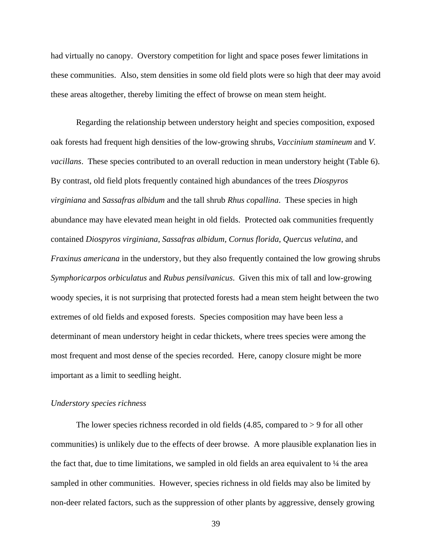had virtually no canopy. Overstory competition for light and space poses fewer limitations in these communities. Also, stem densities in some old field plots were so high that deer may avoid these areas altogether, thereby limiting the effect of browse on mean stem height.

 Regarding the relationship between understory height and species composition, exposed oak forests had frequent high densities of the low-growing shrubs, *Vaccinium stamineum* and *V. vacillans*. These species contributed to an overall reduction in mean understory height (Table 6). By contrast, old field plots frequently contained high abundances of the trees *Diospyros virginiana* and *Sassafras albidum* and the tall shrub *Rhus copallina*. These species in high abundance may have elevated mean height in old fields. Protected oak communities frequently contained *Diospyros virginiana*, *Sassafras albidum, Cornus florida*, *Quercus velutina*, and *Fraxinus americana* in the understory, but they also frequently contained the low growing shrubs *Symphoricarpos orbiculatus* and *Rubus pensilvanicus*. Given this mix of tall and low-growing woody species, it is not surprising that protected forests had a mean stem height between the two extremes of old fields and exposed forests. Species composition may have been less a determinant of mean understory height in cedar thickets, where trees species were among the most frequent and most dense of the species recorded. Here, canopy closure might be more important as a limit to seedling height.

## *Understory species richness*

The lower species richness recorded in old fields  $(4.85,$  compared to  $> 9$  for all other communities) is unlikely due to the effects of deer browse. A more plausible explanation lies in the fact that, due to time limitations, we sampled in old fields an area equivalent to  $\frac{1}{4}$  the area sampled in other communities. However, species richness in old fields may also be limited by non-deer related factors, such as the suppression of other plants by aggressive, densely growing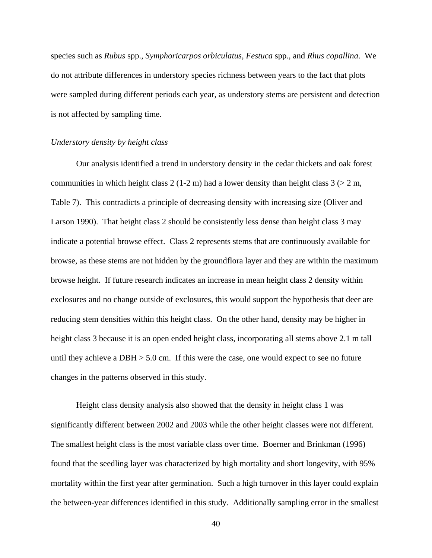species such as *Rubus* spp., *Symphoricarpos orbiculatus*, *Festuca* spp., and *Rhus copallina*. We do not attribute differences in understory species richness between years to the fact that plots were sampled during different periods each year, as understory stems are persistent and detection is not affected by sampling time.

#### *Understory density by height class*

 Our analysis identified a trend in understory density in the cedar thickets and oak forest communities in which height class 2 (1-2 m) had a lower density than height class  $3$  ( $>$  2 m, Table 7). This contradicts a principle of decreasing density with increasing size (Oliver and Larson 1990). That height class 2 should be consistently less dense than height class 3 may indicate a potential browse effect. Class 2 represents stems that are continuously available for browse, as these stems are not hidden by the groundflora layer and they are within the maximum browse height. If future research indicates an increase in mean height class 2 density within exclosures and no change outside of exclosures, this would support the hypothesis that deer are reducing stem densities within this height class. On the other hand, density may be higher in height class 3 because it is an open ended height class, incorporating all stems above 2.1 m tall until they achieve a  $DBH > 5.0$  cm. If this were the case, one would expect to see no future changes in the patterns observed in this study.

 Height class density analysis also showed that the density in height class 1 was significantly different between 2002 and 2003 while the other height classes were not different. The smallest height class is the most variable class over time. Boerner and Brinkman (1996) found that the seedling layer was characterized by high mortality and short longevity, with 95% mortality within the first year after germination. Such a high turnover in this layer could explain the between-year differences identified in this study. Additionally sampling error in the smallest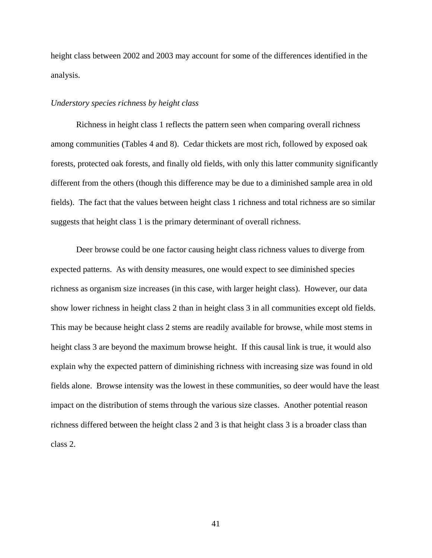height class between 2002 and 2003 may account for some of the differences identified in the analysis.

#### *Understory species richness by height class*

 Richness in height class 1 reflects the pattern seen when comparing overall richness among communities (Tables 4 and 8). Cedar thickets are most rich, followed by exposed oak forests, protected oak forests, and finally old fields, with only this latter community significantly different from the others (though this difference may be due to a diminished sample area in old fields). The fact that the values between height class 1 richness and total richness are so similar suggests that height class 1 is the primary determinant of overall richness.

Deer browse could be one factor causing height class richness values to diverge from expected patterns. As with density measures, one would expect to see diminished species richness as organism size increases (in this case, with larger height class). However, our data show lower richness in height class 2 than in height class 3 in all communities except old fields. This may be because height class 2 stems are readily available for browse, while most stems in height class 3 are beyond the maximum browse height. If this causal link is true, it would also explain why the expected pattern of diminishing richness with increasing size was found in old fields alone. Browse intensity was the lowest in these communities, so deer would have the least impact on the distribution of stems through the various size classes. Another potential reason richness differed between the height class 2 and 3 is that height class 3 is a broader class than class 2.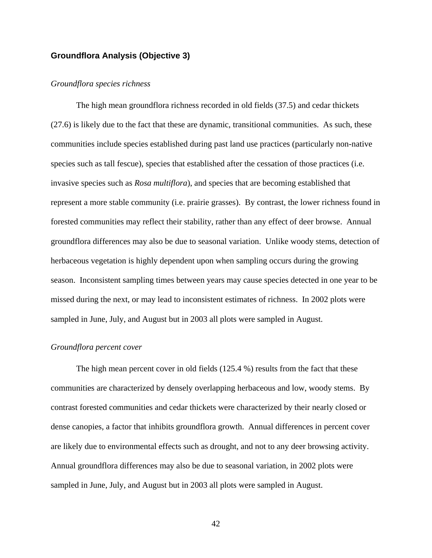# **Groundflora Analysis (Objective 3)**

#### *Groundflora species richness*

 The high mean groundflora richness recorded in old fields (37.5) and cedar thickets (27.6) is likely due to the fact that these are dynamic, transitional communities. As such, these communities include species established during past land use practices (particularly non-native species such as tall fescue), species that established after the cessation of those practices (i.e. invasive species such as *Rosa multiflora*), and species that are becoming established that represent a more stable community (i.e. prairie grasses). By contrast, the lower richness found in forested communities may reflect their stability, rather than any effect of deer browse. Annual groundflora differences may also be due to seasonal variation. Unlike woody stems, detection of herbaceous vegetation is highly dependent upon when sampling occurs during the growing season. Inconsistent sampling times between years may cause species detected in one year to be missed during the next, or may lead to inconsistent estimates of richness. In 2002 plots were sampled in June, July, and August but in 2003 all plots were sampled in August.

#### *Groundflora percent cover*

 The high mean percent cover in old fields (125.4 %) results from the fact that these communities are characterized by densely overlapping herbaceous and low, woody stems. By contrast forested communities and cedar thickets were characterized by their nearly closed or dense canopies, a factor that inhibits groundflora growth. Annual differences in percent cover are likely due to environmental effects such as drought, and not to any deer browsing activity. Annual groundflora differences may also be due to seasonal variation, in 2002 plots were sampled in June, July, and August but in 2003 all plots were sampled in August.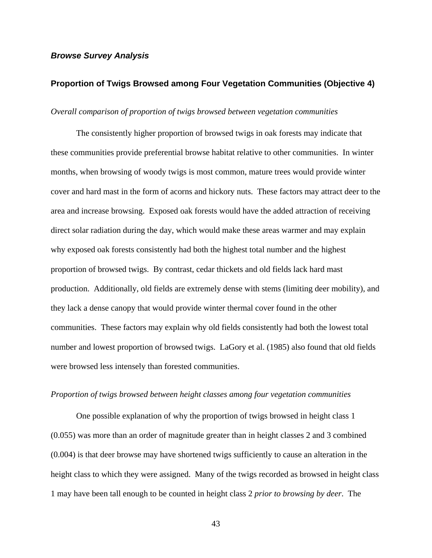## *Browse Survey Analysis*

## **Proportion of Twigs Browsed among Four Vegetation Communities (Objective 4)**

#### *Overall comparison of proportion of twigs browsed between vegetation communities*

 The consistently higher proportion of browsed twigs in oak forests may indicate that these communities provide preferential browse habitat relative to other communities. In winter months, when browsing of woody twigs is most common, mature trees would provide winter cover and hard mast in the form of acorns and hickory nuts. These factors may attract deer to the area and increase browsing. Exposed oak forests would have the added attraction of receiving direct solar radiation during the day, which would make these areas warmer and may explain why exposed oak forests consistently had both the highest total number and the highest proportion of browsed twigs. By contrast, cedar thickets and old fields lack hard mast production. Additionally, old fields are extremely dense with stems (limiting deer mobility), and they lack a dense canopy that would provide winter thermal cover found in the other communities. These factors may explain why old fields consistently had both the lowest total number and lowest proportion of browsed twigs. LaGory et al. (1985) also found that old fields were browsed less intensely than forested communities.

### *Proportion of twigs browsed between height classes among four vegetation communities*

 One possible explanation of why the proportion of twigs browsed in height class 1 (0.055) was more than an order of magnitude greater than in height classes 2 and 3 combined (0.004) is that deer browse may have shortened twigs sufficiently to cause an alteration in the height class to which they were assigned. Many of the twigs recorded as browsed in height class 1 may have been tall enough to be counted in height class 2 *prior to browsing by deer*. The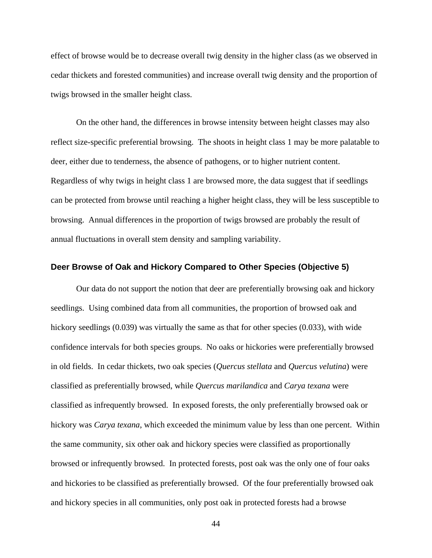effect of browse would be to decrease overall twig density in the higher class (as we observed in cedar thickets and forested communities) and increase overall twig density and the proportion of twigs browsed in the smaller height class.

 On the other hand, the differences in browse intensity between height classes may also reflect size-specific preferential browsing. The shoots in height class 1 may be more palatable to deer, either due to tenderness, the absence of pathogens, or to higher nutrient content. Regardless of why twigs in height class 1 are browsed more, the data suggest that if seedlings can be protected from browse until reaching a higher height class, they will be less susceptible to browsing. Annual differences in the proportion of twigs browsed are probably the result of annual fluctuations in overall stem density and sampling variability.

## **Deer Browse of Oak and Hickory Compared to Other Species (Objective 5)**

 Our data do not support the notion that deer are preferentially browsing oak and hickory seedlings. Using combined data from all communities, the proportion of browsed oak and hickory seedlings (0.039) was virtually the same as that for other species (0.033), with wide confidence intervals for both species groups. No oaks or hickories were preferentially browsed in old fields. In cedar thickets, two oak species (*Quercus stellata* and *Quercus velutina*) were classified as preferentially browsed, while *Quercus marilandica* and *Carya texana* were classified as infrequently browsed. In exposed forests, the only preferentially browsed oak or hickory was *Carya texana*, which exceeded the minimum value by less than one percent. Within the same community, six other oak and hickory species were classified as proportionally browsed or infrequently browsed. In protected forests, post oak was the only one of four oaks and hickories to be classified as preferentially browsed. Of the four preferentially browsed oak and hickory species in all communities, only post oak in protected forests had a browse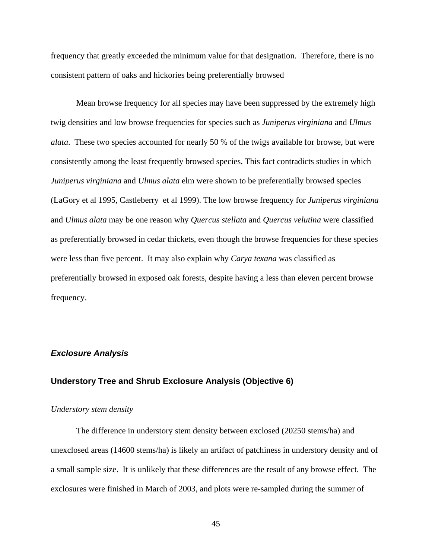frequency that greatly exceeded the minimum value for that designation. Therefore, there is no consistent pattern of oaks and hickories being preferentially browsed

 Mean browse frequency for all species may have been suppressed by the extremely high twig densities and low browse frequencies for species such as *Juniperus virginiana* and *Ulmus alata*. These two species accounted for nearly 50 % of the twigs available for browse, but were consistently among the least frequently browsed species. This fact contradicts studies in which *Juniperus virginiana* and *Ulmus alata* elm were shown to be preferentially browsed species (LaGory et al 1995, Castleberry et al 1999). The low browse frequency for *Juniperus virginiana* and *Ulmus alata* may be one reason why *Quercus stellata* and *Quercus velutina* were classified as preferentially browsed in cedar thickets, even though the browse frequencies for these species were less than five percent. It may also explain why *Carya texana* was classified as preferentially browsed in exposed oak forests, despite having a less than eleven percent browse frequency.

## *Exclosure Analysis*

## **Understory Tree and Shrub Exclosure Analysis (Objective 6)**

#### *Understory stem density*

 The difference in understory stem density between exclosed (20250 stems/ha) and unexclosed areas (14600 stems/ha) is likely an artifact of patchiness in understory density and of a small sample size. It is unlikely that these differences are the result of any browse effect. The exclosures were finished in March of 2003, and plots were re-sampled during the summer of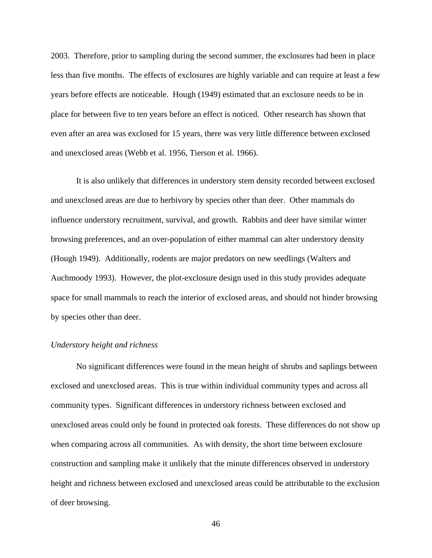2003. Therefore, prior to sampling during the second summer, the exclosures had been in place less than five months. The effects of exclosures are highly variable and can require at least a few years before effects are noticeable. Hough (1949) estimated that an exclosure needs to be in place for between five to ten years before an effect is noticed. Other research has shown that even after an area was exclosed for 15 years, there was very little difference between exclosed and unexclosed areas (Webb et al. 1956, Tierson et al. 1966).

It is also unlikely that differences in understory stem density recorded between exclosed and unexclosed areas are due to herbivory by species other than deer. Other mammals do influence understory recruitment, survival, and growth. Rabbits and deer have similar winter browsing preferences, and an over-population of either mammal can alter understory density (Hough 1949). Additionally, rodents are major predators on new seedlings (Walters and Auchmoody 1993). However, the plot-exclosure design used in this study provides adequate space for small mammals to reach the interior of exclosed areas, and should not hinder browsing by species other than deer.

## *Understory height and richness*

 No significant differences were found in the mean height of shrubs and saplings between exclosed and unexclosed areas. This is true within individual community types and across all community types. Significant differences in understory richness between exclosed and unexclosed areas could only be found in protected oak forests. These differences do not show up when comparing across all communities. As with density, the short time between exclosure construction and sampling make it unlikely that the minute differences observed in understory height and richness between exclosed and unexclosed areas could be attributable to the exclusion of deer browsing.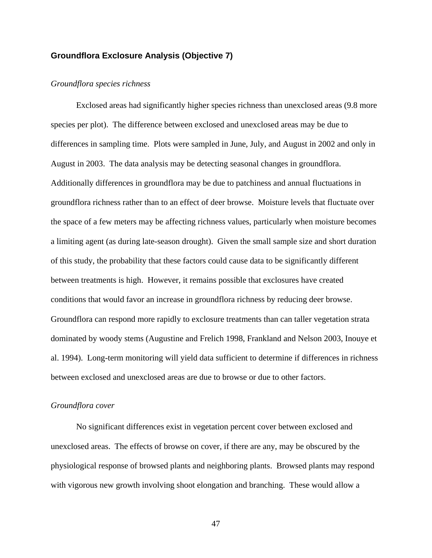## **Groundflora Exclosure Analysis (Objective 7)**

#### *Groundflora species richness*

 Exclosed areas had significantly higher species richness than unexclosed areas (9.8 more species per plot). The difference between exclosed and unexclosed areas may be due to differences in sampling time. Plots were sampled in June, July, and August in 2002 and only in August in 2003. The data analysis may be detecting seasonal changes in groundflora. Additionally differences in groundflora may be due to patchiness and annual fluctuations in groundflora richness rather than to an effect of deer browse. Moisture levels that fluctuate over the space of a few meters may be affecting richness values, particularly when moisture becomes a limiting agent (as during late-season drought). Given the small sample size and short duration of this study, the probability that these factors could cause data to be significantly different between treatments is high. However, it remains possible that exclosures have created conditions that would favor an increase in groundflora richness by reducing deer browse. Groundflora can respond more rapidly to exclosure treatments than can taller vegetation strata dominated by woody stems (Augustine and Frelich 1998, Frankland and Nelson 2003, Inouye et al. 1994). Long-term monitoring will yield data sufficient to determine if differences in richness between exclosed and unexclosed areas are due to browse or due to other factors.

#### *Groundflora cover*

 No significant differences exist in vegetation percent cover between exclosed and unexclosed areas. The effects of browse on cover, if there are any, may be obscured by the physiological response of browsed plants and neighboring plants. Browsed plants may respond with vigorous new growth involving shoot elongation and branching. These would allow a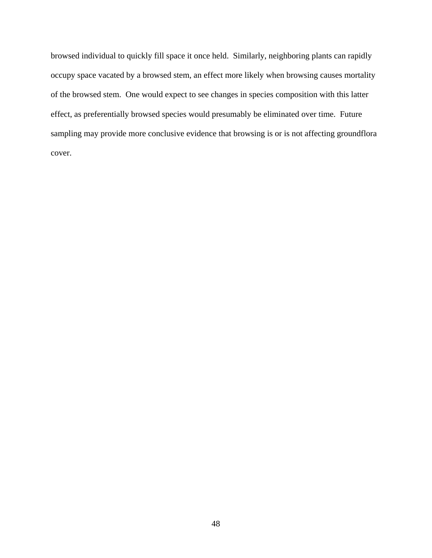browsed individual to quickly fill space it once held. Similarly, neighboring plants can rapidly occupy space vacated by a browsed stem, an effect more likely when browsing causes mortality of the browsed stem. One would expect to see changes in species composition with this latter effect, as preferentially browsed species would presumably be eliminated over time. Future sampling may provide more conclusive evidence that browsing is or is not affecting groundflora cover.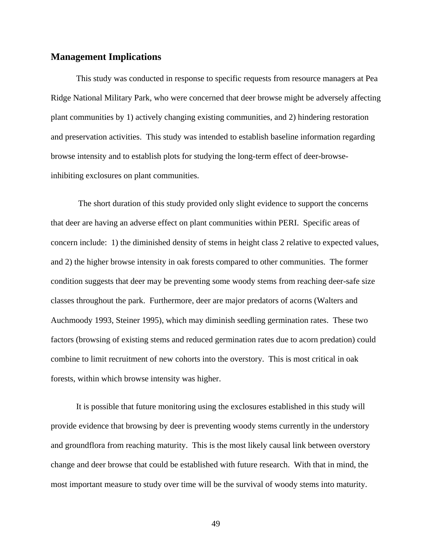## **Management Implications**

This study was conducted in response to specific requests from resource managers at Pea Ridge National Military Park, who were concerned that deer browse might be adversely affecting plant communities by 1) actively changing existing communities, and 2) hindering restoration and preservation activities. This study was intended to establish baseline information regarding browse intensity and to establish plots for studying the long-term effect of deer-browseinhibiting exclosures on plant communities.

 The short duration of this study provided only slight evidence to support the concerns that deer are having an adverse effect on plant communities within PERI. Specific areas of concern include: 1) the diminished density of stems in height class 2 relative to expected values, and 2) the higher browse intensity in oak forests compared to other communities. The former condition suggests that deer may be preventing some woody stems from reaching deer-safe size classes throughout the park. Furthermore, deer are major predators of acorns (Walters and Auchmoody 1993, Steiner 1995), which may diminish seedling germination rates. These two factors (browsing of existing stems and reduced germination rates due to acorn predation) could combine to limit recruitment of new cohorts into the overstory. This is most critical in oak forests, within which browse intensity was higher.

 It is possible that future monitoring using the exclosures established in this study will provide evidence that browsing by deer is preventing woody stems currently in the understory and groundflora from reaching maturity. This is the most likely causal link between overstory change and deer browse that could be established with future research. With that in mind, the most important measure to study over time will be the survival of woody stems into maturity.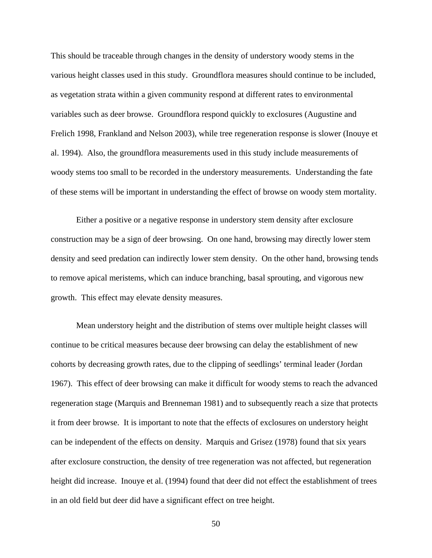This should be traceable through changes in the density of understory woody stems in the various height classes used in this study. Groundflora measures should continue to be included, as vegetation strata within a given community respond at different rates to environmental variables such as deer browse. Groundflora respond quickly to exclosures (Augustine and Frelich 1998, Frankland and Nelson 2003), while tree regeneration response is slower (Inouye et al. 1994). Also, the groundflora measurements used in this study include measurements of woody stems too small to be recorded in the understory measurements. Understanding the fate of these stems will be important in understanding the effect of browse on woody stem mortality.

Either a positive or a negative response in understory stem density after exclosure construction may be a sign of deer browsing. On one hand, browsing may directly lower stem density and seed predation can indirectly lower stem density. On the other hand, browsing tends to remove apical meristems, which can induce branching, basal sprouting, and vigorous new growth. This effect may elevate density measures.

Mean understory height and the distribution of stems over multiple height classes will continue to be critical measures because deer browsing can delay the establishment of new cohorts by decreasing growth rates, due to the clipping of seedlings' terminal leader (Jordan 1967). This effect of deer browsing can make it difficult for woody stems to reach the advanced regeneration stage (Marquis and Brenneman 1981) and to subsequently reach a size that protects it from deer browse. It is important to note that the effects of exclosures on understory height can be independent of the effects on density. Marquis and Grisez (1978) found that six years after exclosure construction, the density of tree regeneration was not affected, but regeneration height did increase. Inouye et al. (1994) found that deer did not effect the establishment of trees in an old field but deer did have a significant effect on tree height.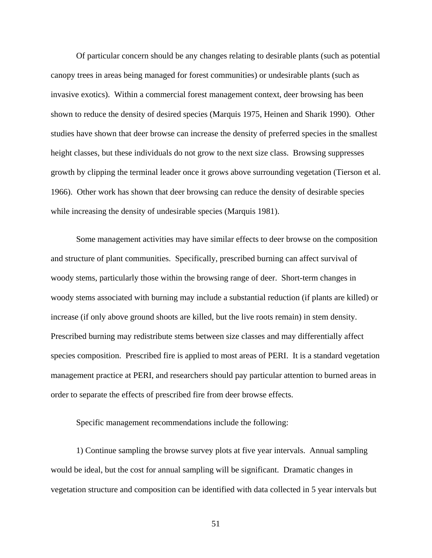Of particular concern should be any changes relating to desirable plants (such as potential canopy trees in areas being managed for forest communities) or undesirable plants (such as invasive exotics). Within a commercial forest management context, deer browsing has been shown to reduce the density of desired species (Marquis 1975, Heinen and Sharik 1990). Other studies have shown that deer browse can increase the density of preferred species in the smallest height classes, but these individuals do not grow to the next size class. Browsing suppresses growth by clipping the terminal leader once it grows above surrounding vegetation (Tierson et al. 1966). Other work has shown that deer browsing can reduce the density of desirable species while increasing the density of undesirable species (Marquis 1981).

Some management activities may have similar effects to deer browse on the composition and structure of plant communities. Specifically, prescribed burning can affect survival of woody stems, particularly those within the browsing range of deer. Short-term changes in woody stems associated with burning may include a substantial reduction (if plants are killed) or increase (if only above ground shoots are killed, but the live roots remain) in stem density. Prescribed burning may redistribute stems between size classes and may differentially affect species composition. Prescribed fire is applied to most areas of PERI. It is a standard vegetation management practice at PERI, and researchers should pay particular attention to burned areas in order to separate the effects of prescribed fire from deer browse effects.

Specific management recommendations include the following:

1) Continue sampling the browse survey plots at five year intervals. Annual sampling would be ideal, but the cost for annual sampling will be significant. Dramatic changes in vegetation structure and composition can be identified with data collected in 5 year intervals but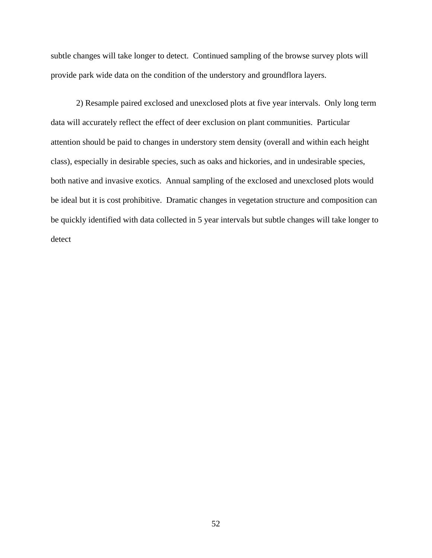subtle changes will take longer to detect. Continued sampling of the browse survey plots will provide park wide data on the condition of the understory and groundflora layers.

2) Resample paired exclosed and unexclosed plots at five year intervals. Only long term data will accurately reflect the effect of deer exclusion on plant communities. Particular attention should be paid to changes in understory stem density (overall and within each height class), especially in desirable species, such as oaks and hickories, and in undesirable species, both native and invasive exotics. Annual sampling of the exclosed and unexclosed plots would be ideal but it is cost prohibitive. Dramatic changes in vegetation structure and composition can be quickly identified with data collected in 5 year intervals but subtle changes will take longer to detect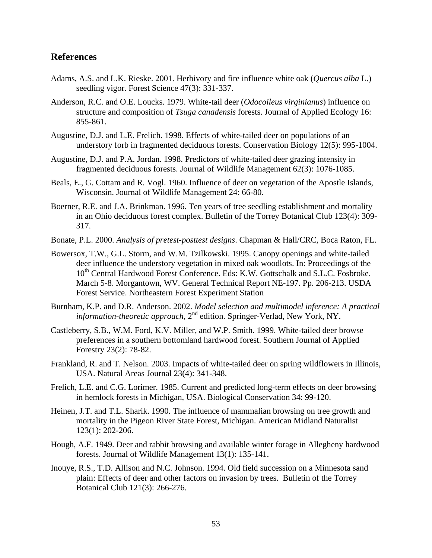# **References**

- Adams, A.S. and L.K. Rieske. 2001. Herbivory and fire influence white oak (*Quercus alba* L.) seedling vigor. Forest Science 47(3): 331-337.
- Anderson, R.C. and O.E. Loucks. 1979. White-tail deer (*Odocoileus virginianus*) influence on structure and composition of *Tsuga canadensis* forests. Journal of Applied Ecology 16: 855-861.
- Augustine, D.J. and L.E. Frelich. 1998. Effects of white-tailed deer on populations of an understory forb in fragmented deciduous forests. Conservation Biology 12(5): 995-1004.
- Augustine, D.J. and P.A. Jordan. 1998. Predictors of white-tailed deer grazing intensity in fragmented deciduous forests. Journal of Wildlife Management 62(3): 1076-1085.
- Beals, E., G. Cottam and R. Vogl. 1960. Influence of deer on vegetation of the Apostle Islands, Wisconsin. Journal of Wildlife Management 24: 66-80.
- Boerner, R.E. and J.A. Brinkman. 1996. Ten years of tree seedling establishment and mortality in an Ohio deciduous forest complex. Bulletin of the Torrey Botanical Club 123(4): 309- 317.
- Bonate, P.L. 2000. *Analysis of pretest-posttest designs*. Chapman & Hall/CRC, Boca Raton, FL.
- Bowersox, T.W., G.L. Storm, and W.M. Tzilkowski. 1995. Canopy openings and white-tailed deer influence the understory vegetation in mixed oak woodlots. In: Proceedings of the 10<sup>th</sup> Central Hardwood Forest Conference. Eds: K.W. Gottschalk and S.L.C. Fosbroke. March 5-8. Morgantown, WV. General Technical Report NE-197. Pp. 206-213. USDA Forest Service. Northeastern Forest Experiment Station
- Burnham, K.P. and D.R. Anderson. 2002. *Model selection and multimodel inference: A practical information-theoretic approach*, 2<sup>nd</sup> edition. Springer-Verlad, New York, NY.
- Castleberry, S.B., W.M. Ford, K.V. Miller, and W.P. Smith. 1999. White-tailed deer browse preferences in a southern bottomland hardwood forest. Southern Journal of Applied Forestry 23(2): 78-82.
- Frankland, R. and T. Nelson. 2003. Impacts of white-tailed deer on spring wildflowers in Illinois, USA. Natural Areas Journal 23(4): 341-348.
- Frelich, L.E. and C.G. Lorimer. 1985. Current and predicted long-term effects on deer browsing in hemlock forests in Michigan, USA. Biological Conservation 34: 99-120.
- Heinen, J.T. and T.L. Sharik. 1990. The influence of mammalian browsing on tree growth and mortality in the Pigeon River State Forest, Michigan. American Midland Naturalist 123(1): 202-206.
- Hough, A.F. 1949. Deer and rabbit browsing and available winter forage in Allegheny hardwood forests. Journal of Wildlife Management 13(1): 135-141.
- Inouye, R.S., T.D. Allison and N.C. Johnson. 1994. Old field succession on a Minnesota sand plain: Effects of deer and other factors on invasion by trees. Bulletin of the Torrey Botanical Club 121(3): 266-276.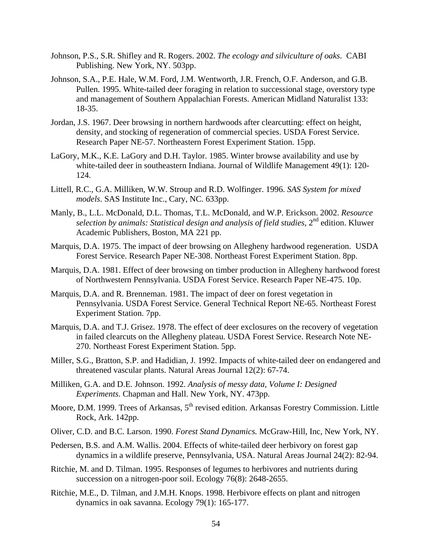- Johnson, P.S., S.R. Shifley and R. Rogers. 2002. *The ecology and silviculture of oaks*. CABI Publishing. New York, NY. 503pp.
- Johnson, S.A., P.E. Hale, W.M. Ford, J.M. Wentworth, J.R. French, O.F. Anderson, and G.B. Pullen. 1995. White-tailed deer foraging in relation to successional stage, overstory type and management of Southern Appalachian Forests. American Midland Naturalist 133: 18-35.
- Jordan, J.S. 1967. Deer browsing in northern hardwoods after clearcutting: effect on height, density, and stocking of regeneration of commercial species. USDA Forest Service. Research Paper NE-57. Northeastern Forest Experiment Station. 15pp.
- LaGory, M.K., K.E. LaGory and D.H. Taylor. 1985. Winter browse availability and use by white-tailed deer in southeastern Indiana. Journal of Wildlife Management 49(1): 120- 124.
- Littell, R.C., G.A. Milliken, W.W. Stroup and R.D. Wolfinger. 1996. *SAS System for mixed models*. SAS Institute Inc., Cary, NC. 633pp.
- Manly, B., L.L. McDonald, D.L. Thomas, T.L. McDonald, and W.P. Erickson. 2002. *Resource selection by animals: Statistical design and analysis of field studies*, 2nd edition. Kluwer Academic Publishers, Boston, MA 221 pp.
- Marquis, D.A. 1975. The impact of deer browsing on Allegheny hardwood regeneration. USDA Forest Service. Research Paper NE-308. Northeast Forest Experiment Station. 8pp.
- Marquis, D.A. 1981. Effect of deer browsing on timber production in Allegheny hardwood forest of Northwestern Pennsylvania. USDA Forest Service. Research Paper NE-475. 10p.
- Marquis, D.A. and R. Brenneman. 1981. The impact of deer on forest vegetation in Pennsylvania. USDA Forest Service. General Technical Report NE-65. Northeast Forest Experiment Station. 7pp.
- Marquis, D.A. and T.J. Grisez. 1978. The effect of deer exclosures on the recovery of vegetation in failed clearcuts on the Allegheny plateau. USDA Forest Service. Research Note NE-270. Northeast Forest Experiment Station. 5pp.
- Miller, S.G., Bratton, S.P. and Hadidian, J. 1992. Impacts of white-tailed deer on endangered and threatened vascular plants. Natural Areas Journal 12(2): 67-74.
- Milliken, G.A. and D.E. Johnson. 1992. *Analysis of messy data, Volume I: Designed Experiments*. Chapman and Hall. New York, NY. 473pp.
- Moore, D.M. 1999. Trees of Arkansas, 5<sup>th</sup> revised edition. Arkansas Forestry Commission. Little Rock, Ark. 142pp.
- Oliver, C.D. and B.C. Larson. 1990. *Forest Stand Dynamics.* McGraw-Hill, Inc, New York, NY.
- Pedersen, B.S. and A.M. Wallis. 2004. Effects of white-tailed deer herbivory on forest gap dynamics in a wildlife preserve, Pennsylvania, USA. Natural Areas Journal 24(2): 82-94.
- Ritchie, M. and D. Tilman. 1995. Responses of legumes to herbivores and nutrients during succession on a nitrogen-poor soil. Ecology 76(8): 2648-2655.
- Ritchie, M.E., D. Tilman, and J.M.H. Knops. 1998. Herbivore effects on plant and nitrogen dynamics in oak savanna. Ecology 79(1): 165-177.